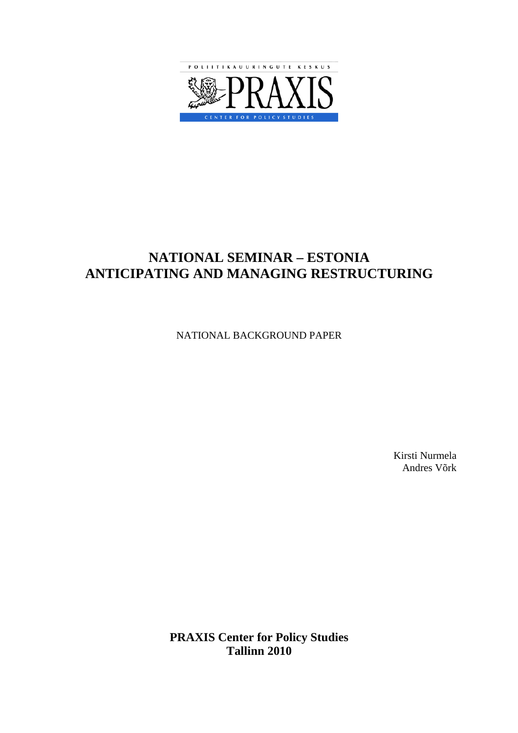

## **NATIONAL SEMINAR – ESTONIA ANTICIPATING AND MANAGING RESTRUCTURING**

NATIONAL BACKGROUND PAPER

Kirsti Nurmela Andres Võrk

**PRAXIS Center for Policy Studies Tallinn 2010**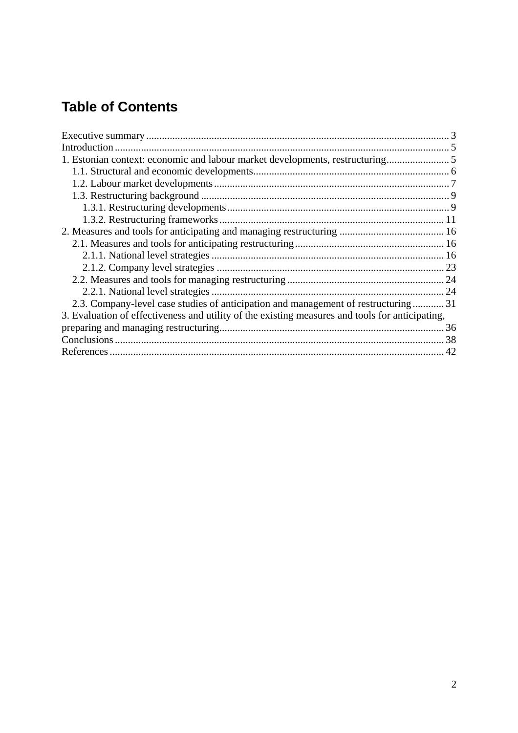# **Table of Contents**

| 1. Estonian context: economic and labour market developments, restructuring                     |  |
|-------------------------------------------------------------------------------------------------|--|
|                                                                                                 |  |
|                                                                                                 |  |
|                                                                                                 |  |
|                                                                                                 |  |
|                                                                                                 |  |
|                                                                                                 |  |
|                                                                                                 |  |
|                                                                                                 |  |
|                                                                                                 |  |
|                                                                                                 |  |
|                                                                                                 |  |
| 2.3. Company-level case studies of anticipation and management of restructuring  31             |  |
| 3. Evaluation of effectiveness and utility of the existing measures and tools for anticipating, |  |
|                                                                                                 |  |
|                                                                                                 |  |
|                                                                                                 |  |
|                                                                                                 |  |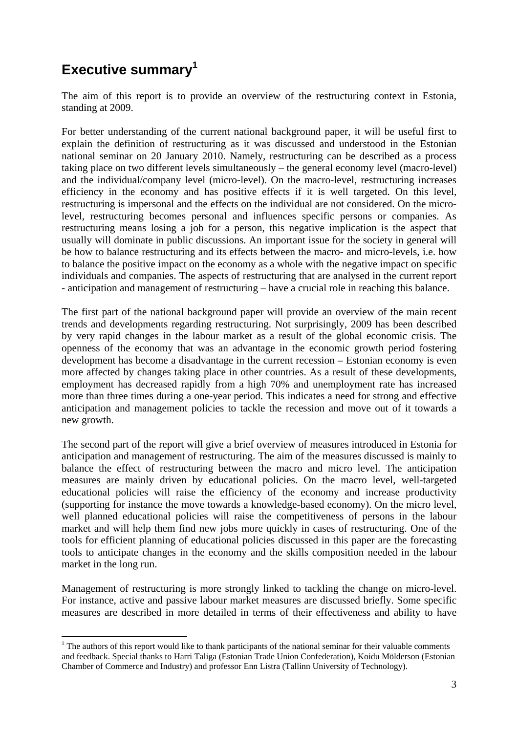# <span id="page-2-0"></span>**Executive summary<sup>1</sup>**

 $\overline{a}$ 

The aim of this report is to provide an overview of the restructuring context in Estonia, standing at 2009.

For better understanding of the current national background paper, it will be useful first to explain the definition of restructuring as it was discussed and understood in the Estonian national seminar on 20 January 2010. Namely, restructuring can be described as a process taking place on two different levels simultaneously – the general economy level (macro-level) and the individual/company level (micro-level). On the macro-level, restructuring increases efficiency in the economy and has positive effects if it is well targeted. On this level, restructuring is impersonal and the effects on the individual are not considered. On the microlevel, restructuring becomes personal and influences specific persons or companies. As restructuring means losing a job for a person, this negative implication is the aspect that usually will dominate in public discussions. An important issue for the society in general will be how to balance restructuring and its effects between the macro- and micro-levels, i.e. how to balance the positive impact on the economy as a whole with the negative impact on specific individuals and companies. The aspects of restructuring that are analysed in the current report - anticipation and management of restructuring – have a crucial role in reaching this balance.

The first part of the national background paper will provide an overview of the main recent trends and developments regarding restructuring. Not surprisingly, 2009 has been described by very rapid changes in the labour market as a result of the global economic crisis. The openness of the economy that was an advantage in the economic growth period fostering development has become a disadvantage in the current recession – Estonian economy is even more affected by changes taking place in other countries. As a result of these developments, employment has decreased rapidly from a high 70% and unemployment rate has increased more than three times during a one-year period. This indicates a need for strong and effective anticipation and management policies to tackle the recession and move out of it towards a new growth.

The second part of the report will give a brief overview of measures introduced in Estonia for anticipation and management of restructuring. The aim of the measures discussed is mainly to balance the effect of restructuring between the macro and micro level. The anticipation measures are mainly driven by educational policies. On the macro level, well-targeted educational policies will raise the efficiency of the economy and increase productivity (supporting for instance the move towards a knowledge-based economy). On the micro level, well planned educational policies will raise the competitiveness of persons in the labour market and will help them find new jobs more quickly in cases of restructuring. One of the tools for efficient planning of educational policies discussed in this paper are the forecasting tools to anticipate changes in the economy and the skills composition needed in the labour market in the long run.

Management of restructuring is more strongly linked to tackling the change on micro-level. For instance, active and passive labour market measures are discussed briefly. Some specific measures are described in more detailed in terms of their effectiveness and ability to have

 $<sup>1</sup>$  The authors of this report would like to thank participants of the national seminar for their valuable comments</sup> and feedback. Special thanks to Harri Taliga (Estonian Trade Union Confederation), Koidu Mölderson (Estonian Chamber of Commerce and Industry) and professor Enn Listra (Tallinn University of Technology).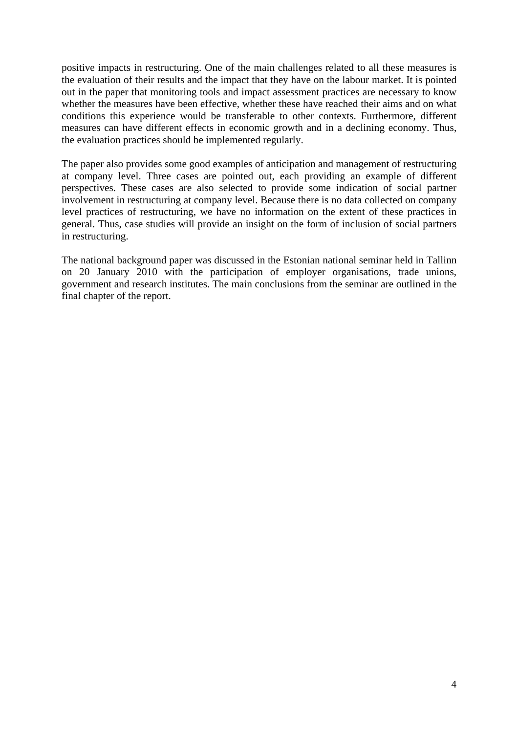positive impacts in restructuring. One of the main challenges related to all these measures is the evaluation of their results and the impact that they have on the labour market. It is pointed out in the paper that monitoring tools and impact assessment practices are necessary to know whether the measures have been effective, whether these have reached their aims and on what conditions this experience would be transferable to other contexts. Furthermore, different measures can have different effects in economic growth and in a declining economy. Thus, the evaluation practices should be implemented regularly.

The paper also provides some good examples of anticipation and management of restructuring at company level. Three cases are pointed out, each providing an example of different perspectives. These cases are also selected to provide some indication of social partner involvement in restructuring at company level. Because there is no data collected on company level practices of restructuring, we have no information on the extent of these practices in general. Thus, case studies will provide an insight on the form of inclusion of social partners in restructuring.

The national background paper was discussed in the Estonian national seminar held in Tallinn on 20 January 2010 with the participation of employer organisations, trade unions, government and research institutes. The main conclusions from the seminar are outlined in the final chapter of the report.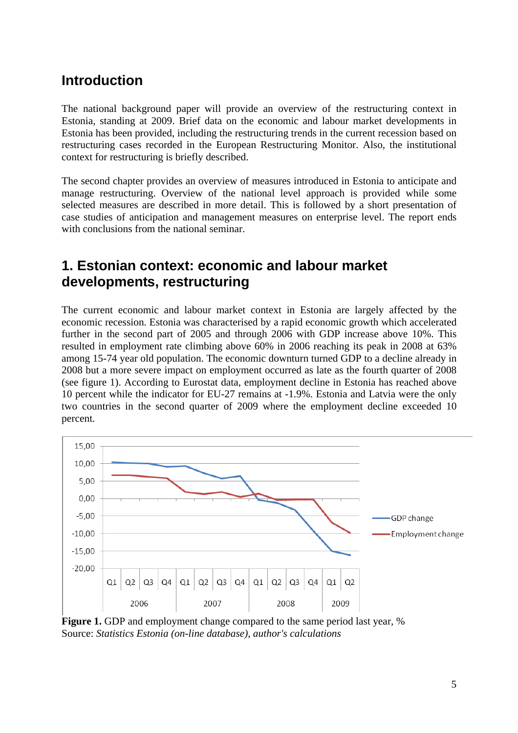## <span id="page-4-0"></span>**Introduction**

The national background paper will provide an overview of the restructuring context in Estonia, standing at 2009. Brief data on the economic and labour market developments in Estonia has been provided, including the restructuring trends in the current recession based on restructuring cases recorded in the European Restructuring Monitor. Also, the institutional context for restructuring is briefly described.

The second chapter provides an overview of measures introduced in Estonia to anticipate and manage restructuring. Overview of the national level approach is provided while some selected measures are described in more detail. This is followed by a short presentation of case studies of anticipation and management measures on enterprise level. The report ends with conclusions from the national seminar.

## <span id="page-4-1"></span>**1. Estonian context: economic and labour market developments, restructuring**

The current economic and labour market context in Estonia are largely affected by the economic recession. Estonia was characterised by a rapid economic growth which accelerated further in the second part of 2005 and through 2006 with GDP increase above 10%. This resulted in employment rate climbing above 60% in 2006 reaching its peak in 2008 at 63% among 15-74 year old population. The economic downturn turned GDP to a decline already in 2008 but a more severe impact on employment occurred as late as the fourth quarter of 2008 (see figure 1). According to Eurostat data, employment decline in Estonia has reached above 10 percent while the indicator for EU-27 remains at -1.9%. Estonia and Latvia were the only two countries in the second quarter of 2009 where the employment decline exceeded 10 percent.



**Figure 1.** GDP and employment change compared to the same period last year, % Source: *Statistics Estonia (on-line database), author's calculations*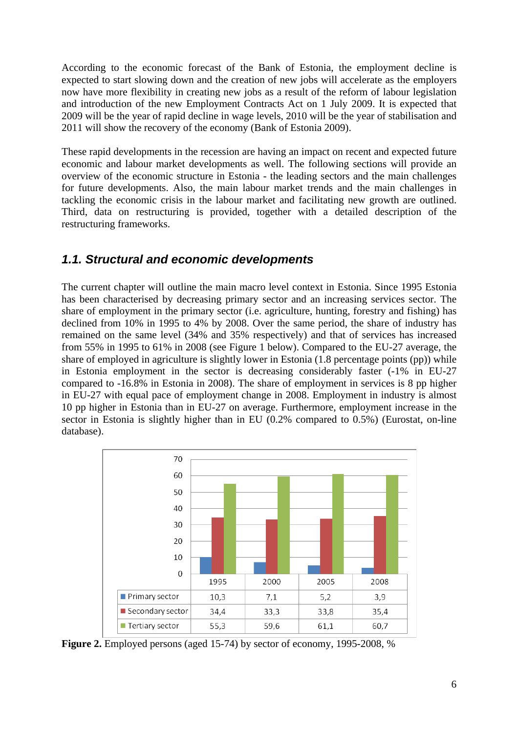According to the economic forecast of the Bank of Estonia, the employment decline is expected to start slowing down and the creation of new jobs will accelerate as the employers now have more flexibility in creating new jobs as a result of the reform of labour legislation and introduction of the new Employment Contracts Act on 1 July 2009. It is expected that 2009 will be the year of rapid decline in wage levels, 2010 will be the year of stabilisation and 2011 will show the recovery of the economy (Bank of Estonia 2009).

These rapid developments in the recession are having an impact on recent and expected future economic and labour market developments as well. The following sections will provide an overview of the economic structure in Estonia - the leading sectors and the main challenges for future developments. Also, the main labour market trends and the main challenges in tackling the economic crisis in the labour market and facilitating new growth are outlined. Third, data on restructuring is provided, together with a detailed description of the restructuring frameworks.

### <span id="page-5-0"></span>*1.1. Structural and economic developments*

The current chapter will outline the main macro level context in Estonia. Since 1995 Estonia has been characterised by decreasing primary sector and an increasing services sector. The share of employment in the primary sector (i.e. agriculture, hunting, forestry and fishing) has declined from 10% in 1995 to 4% by 2008. Over the same period, the share of industry has remained on the same level (34% and 35% respectively) and that of services has increased from 55% in 1995 to 61% in 2008 (see Figure 1 below). Compared to the EU-27 average, the share of employed in agriculture is slightly lower in Estonia (1.8 percentage points (pp)) while in Estonia employment in the sector is decreasing considerably faster (-1% in EU-27 compared to -16.8% in Estonia in 2008). The share of employment in services is 8 pp higher in EU-27 with equal pace of employment change in 2008. Employment in industry is almost 10 pp higher in Estonia than in EU-27 on average. Furthermore, employment increase in the sector in Estonia is slightly higher than in EU (0.2% compared to 0.5%) (Eurostat, on-line database).



**Figure 2.** Employed persons (aged 15-74) by sector of economy, 1995-2008, %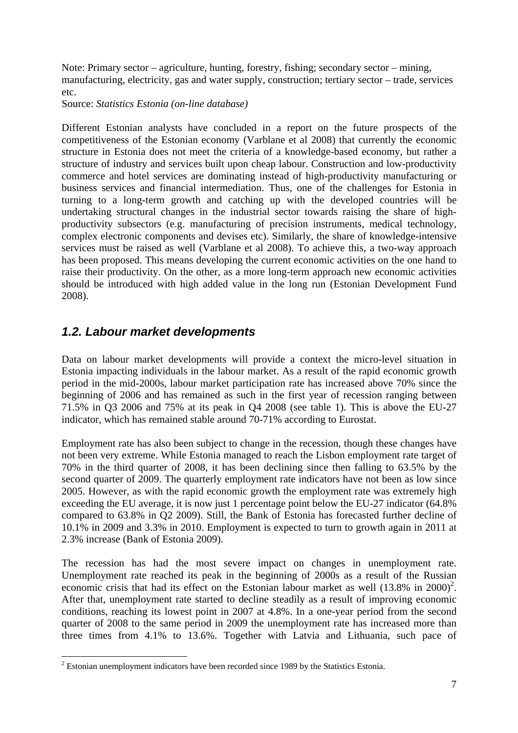Note: Primary sector – agriculture, hunting, forestry, fishing; secondary sector – mining, manufacturing, electricity, gas and water supply, construction; tertiary sector – trade, services etc.

Source: *Statistics Estonia (on-line database)*

Different Estonian analysts have concluded in a report on the future prospects of the competitiveness of the Estonian economy (Varblane et al 2008) that currently the economic structure in Estonia does not meet the criteria of a knowledge-based economy, but rather a structure of industry and services built upon cheap labour. Construction and low-productivity commerce and hotel services are dominating instead of high-productivity manufacturing or business services and financial intermediation. Thus, one of the challenges for Estonia in turning to a long-term growth and catching up with the developed countries will be undertaking structural changes in the industrial sector towards raising the share of highproductivity subsectors (e.g. manufacturing of precision instruments, medical technology, complex electronic components and devises etc). Similarly, the share of knowledge-intensive services must be raised as well (Varblane et al 2008). To achieve this, a two-way approach has been proposed. This means developing the current economic activities on the one hand to raise their productivity. On the other, as a more long-term approach new economic activities should be introduced with high added value in the long run (Estonian Development Fund 2008).

### <span id="page-6-0"></span>*1.2. Labour market developments*

Data on labour market developments will provide a context the micro-level situation in Estonia impacting individuals in the labour market. As a result of the rapid economic growth period in the mid-2000s, labour market participation rate has increased above 70% since the beginning of 2006 and has remained as such in the first year of recession ranging between 71.5% in Q3 2006 and 75% at its peak in Q4 2008 (see table 1). This is above the EU-27 indicator, which has remained stable around 70-71% according to Eurostat.

Employment rate has also been subject to change in the recession, though these changes have not been very extreme. While Estonia managed to reach the Lisbon employment rate target of 70% in the third quarter of 2008, it has been declining since then falling to 63.5% by the second quarter of 2009. The quarterly employment rate indicators have not been as low since 2005. However, as with the rapid economic growth the employment rate was extremely high exceeding the EU average, it is now just 1 percentage point below the EU-27 indicator (64.8% compared to 63.8% in Q2 2009). Still, the Bank of Estonia has forecasted further decline of 10.1% in 2009 and 3.3% in 2010. Employment is expected to turn to growth again in 2011 at 2.3% increase (Bank of Estonia 2009).

The recession has had the most severe impact on changes in unemployment rate. Unemployment rate reached its peak in the beginning of 2000s as a result of the Russian economic crisis that had its effect on the Estonian labour market as well  $(13.8\%$  in  $2000)^2$ . After that, unemployment rate started to decline steadily as a result of improving economic conditions, reaching its lowest point in 2007 at 4.8%. In a one-year period from the second quarter of 2008 to the same period in 2009 the unemployment rate has increased more than three times from 4.1% to 13.6%. Together with Latvia and Lithuania, such pace of

Estonian unemployment indicators have been recorded since 1989 by the Statistics Estonia.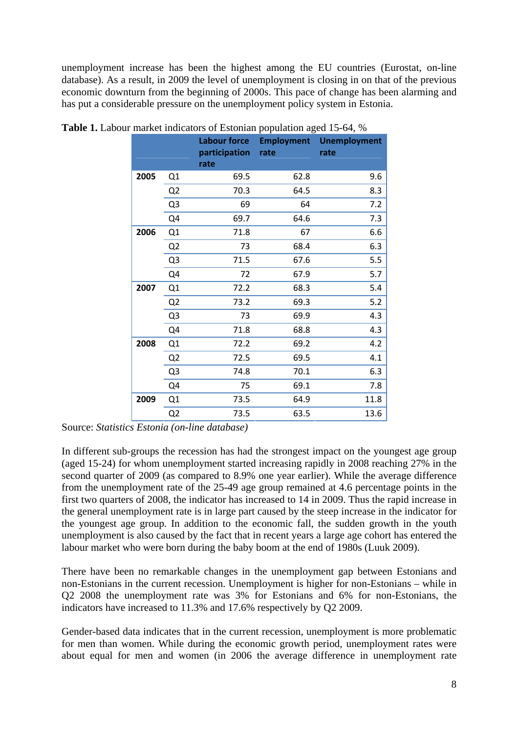unemployment increase has been the highest among the EU countries (Eurostat, on-line database). As a result, in 2009 the level of unemployment is closing in on that of the previous economic downturn from the beginning of 2000s. This pace of change has been alarming and has put a considerable pressure on the unemployment policy system in Estonia.

|      |                | <b>Labour force</b><br>participation | $\cdots$ r $\cdot$ r $\cdots$ $\cdots$ $\cdot$ $\cdot$ $\cdot$ $\cdot$ $\cdot$ $\cdot$ $\cdot$<br>rate | <b>Employment Unemployment</b><br>rate |
|------|----------------|--------------------------------------|--------------------------------------------------------------------------------------------------------|----------------------------------------|
|      |                | rate                                 |                                                                                                        |                                        |
| 2005 | Q1             | 69.5                                 | 62.8                                                                                                   | 9.6                                    |
|      | Q <sub>2</sub> | 70.3                                 | 64.5                                                                                                   | 8.3                                    |
|      | Q <sub>3</sub> | 69                                   | 64                                                                                                     | 7.2                                    |
|      | Q4             | 69.7                                 | 64.6                                                                                                   | 7.3                                    |
| 2006 | Q1             | 71.8                                 | 67                                                                                                     | 6.6                                    |
|      | Q <sub>2</sub> | 73                                   | 68.4                                                                                                   | 6.3                                    |
|      | Q <sub>3</sub> | 71.5                                 | 67.6                                                                                                   | 5.5                                    |
|      | Q4             | 72                                   | 67.9                                                                                                   | 5.7                                    |
| 2007 | Q1             | 72.2                                 | 68.3                                                                                                   | 5.4                                    |
|      | Q <sub>2</sub> | 73.2                                 | 69.3                                                                                                   | 5.2                                    |
|      | Q <sub>3</sub> | 73                                   | 69.9                                                                                                   | 4.3                                    |
|      | Q4             | 71.8                                 | 68.8                                                                                                   | 4.3                                    |
| 2008 | Q1             | 72.2                                 | 69.2                                                                                                   | 4.2                                    |
|      | Q <sub>2</sub> | 72.5                                 | 69.5                                                                                                   | 4.1                                    |
|      | Q <sub>3</sub> | 74.8                                 | 70.1                                                                                                   | 6.3                                    |
|      | Q4             | 75                                   | 69.1                                                                                                   | 7.8                                    |
| 2009 | Q1             | 73.5                                 | 64.9                                                                                                   | 11.8                                   |
|      | Q <sub>2</sub> | 73.5                                 | 63.5                                                                                                   | 13.6                                   |

**Table 1.** Labour market indicators of Estonian population aged 15-64, %

Source: *Statistics Estonia (on-line database)* 

In different sub-groups the recession has had the strongest impact on the youngest age group (aged 15-24) for whom unemployment started increasing rapidly in 2008 reaching 27% in the second quarter of 2009 (as compared to 8.9% one year earlier). While the average difference from the unemployment rate of the 25-49 age group remained at 4.6 percentage points in the first two quarters of 2008, the indicator has increased to 14 in 2009. Thus the rapid increase in the general unemployment rate is in large part caused by the steep increase in the indicator for the youngest age group. In addition to the economic fall, the sudden growth in the youth unemployment is also caused by the fact that in recent years a large age cohort has entered the labour market who were born during the baby boom at the end of 1980s (Luuk 2009).

There have been no remarkable changes in the unemployment gap between Estonians and non-Estonians in the current recession. Unemployment is higher for non-Estonians – while in Q2 2008 the unemployment rate was 3% for Estonians and 6% for non-Estonians, the indicators have increased to 11.3% and 17.6% respectively by Q2 2009.

Gender-based data indicates that in the current recession, unemployment is more problematic for men than women. While during the economic growth period, unemployment rates were about equal for men and women (in 2006 the average difference in unemployment rate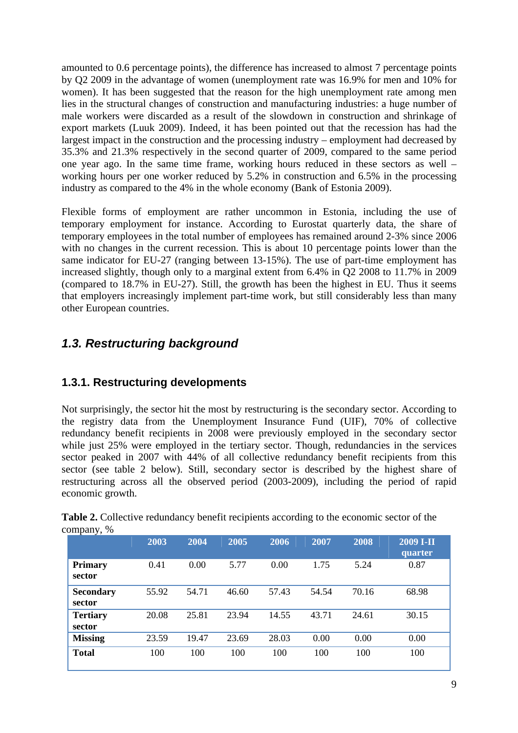amounted to 0.6 percentage points), the difference has increased to almost 7 percentage points by Q2 2009 in the advantage of women (unemployment rate was 16.9% for men and 10% for women). It has been suggested that the reason for the high unemployment rate among men lies in the structural changes of construction and manufacturing industries: a huge number of male workers were discarded as a result of the slowdown in construction and shrinkage of export markets (Luuk 2009). Indeed, it has been pointed out that the recession has had the largest impact in the construction and the processing industry – employment had decreased by 35.3% and 21.3% respectively in the second quarter of 2009, compared to the same period one year ago. In the same time frame, working hours reduced in these sectors as well – working hours per one worker reduced by 5.2% in construction and 6.5% in the processing industry as compared to the 4% in the whole economy (Bank of Estonia 2009).

Flexible forms of employment are rather uncommon in Estonia, including the use of temporary employment for instance. According to Eurostat quarterly data, the share of temporary employees in the total number of employees has remained around 2-3% since 2006 with no changes in the current recession. This is about 10 percentage points lower than the same indicator for EU-27 (ranging between 13-15%). The use of part-time employment has increased slightly, though only to a marginal extent from 6.4% in Q2 2008 to 11.7% in 2009 (compared to 18.7% in EU-27). Still, the growth has been the highest in EU. Thus it seems that employers increasingly implement part-time work, but still considerably less than many other European countries.

### <span id="page-8-0"></span>*1.3. Restructuring background*

### <span id="page-8-1"></span>**1.3.1. Restructuring developments**

Not surprisingly, the sector hit the most by restructuring is the secondary sector. According to the registry data from the Unemployment Insurance Fund (UIF), 70% of collective redundancy benefit recipients in 2008 were previously employed in the secondary sector while just 25% were employed in the tertiary sector. Though, redundancies in the services sector peaked in 2007 with 44% of all collective redundancy benefit recipients from this sector (see table 2 below). Still, secondary sector is described by the highest share of restructuring across all the observed period (2003-2009), including the period of rapid economic growth.

|                            | 2003  | 2004  | 2005  | 2006  | 2007  | 2008  | 2009 I-II<br>quarter |
|----------------------------|-------|-------|-------|-------|-------|-------|----------------------|
| <b>Primary</b><br>sector   | 0.41  | 0.00  | 5.77  | 0.00  | 1.75  | 5.24  | 0.87                 |
| <b>Secondary</b><br>sector | 55.92 | 54.71 | 46.60 | 57.43 | 54.54 | 70.16 | 68.98                |
| <b>Tertiary</b><br>sector  | 20.08 | 25.81 | 23.94 | 14.55 | 43.71 | 24.61 | 30.15                |
| <b>Missing</b>             | 23.59 | 19.47 | 23.69 | 28.03 | 0.00  | 0.00  | 0.00                 |
| <b>Total</b>               | 100   | 100   | 100   | 100   | 100   | 100   | 100                  |

**Table 2.** Collective redundancy benefit recipients according to the economic sector of the company, %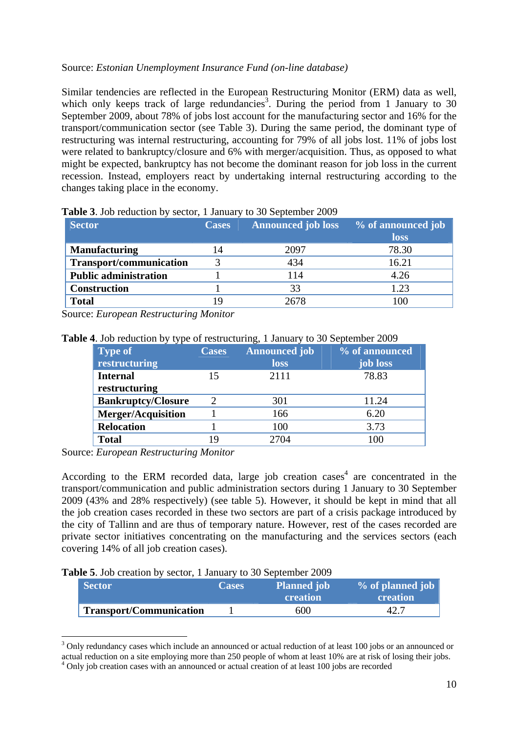#### Source: *Estonian Unemployment Insurance Fund (on-line database)*

Similar tendencies are reflected in the European Restructuring Monitor (ERM) data as well, which only keeps track of large redundancies<sup>3</sup>. During the period from 1 January to 30 September 2009, about 78% of jobs lost account for the manufacturing sector and 16% for the transport/communication sector (see Table 3). During the same period, the dominant type of restructuring was internal restructuring, accounting for 79% of all jobs lost. 11% of jobs lost were related to bankruptcy/closure and 6% with merger/acquisition. Thus, as opposed to what might be expected, bankruptcy has not become the dominant reason for job loss in the current recession. Instead, employers react by undertaking internal restructuring according to the changes taking place in the economy.

| <b>Sector</b>                  | <b>Cases</b> | <b>Announced job loss</b> | % of announced job |
|--------------------------------|--------------|---------------------------|--------------------|
|                                |              |                           | loss               |
| <b>Manufacturing</b>           | 14           | 2097                      | 78.30              |
| <b>Transport/communication</b> |              | 434                       | 16.21              |
| <b>Public administration</b>   |              | 114                       | 4.26               |
| <b>Construction</b>            |              | 33                        | 1.23               |
| <b>Total</b>                   |              | 2678                      |                    |

**Table 3**. Job reduction by sector, 1 January to 30 September 2009

Source: *European Restructuring Monitor*

**Table 4**. Job reduction by type of restructuring, 1 January to 30 September 2009

| <b>Type of</b>            | <b>Cases</b> | <b>Announced job</b> | % of announced |
|---------------------------|--------------|----------------------|----------------|
| restructuring             |              | loss                 | job loss       |
| <b>Internal</b>           | 15           | 2111                 | 78.83          |
| restructuring             |              |                      |                |
| <b>Bankruptcy/Closure</b> |              | 301                  | 11.24          |
| <b>Merger/Acquisition</b> |              | 166                  | 6.20           |
| <b>Relocation</b>         |              | 100                  | 3.73           |
| <b>Total</b>              | 19           | 2704                 | 100            |

Source: *European Restructuring Monitor* 

1

According to the ERM recorded data, large job creation cases<sup>4</sup> are concentrated in the transport/communication and public administration sectors during 1 January to 30 September 2009 (43% and 28% respectively) (see table 5). However, it should be kept in mind that all the job creation cases recorded in these two sectors are part of a crisis package introduced by the city of Tallinn and are thus of temporary nature. However, rest of the cases recorded are private sector initiatives concentrating on the manufacturing and the services sectors (each covering 14% of all job creation cases).

| Table 5. Job creation by sector, 1 January to 30 September 2009 |  |  |  |  |  |  |  |
|-----------------------------------------------------------------|--|--|--|--|--|--|--|
|-----------------------------------------------------------------|--|--|--|--|--|--|--|

| <b>Sector</b>                  | <b>Cases</b> | <b>Planned job</b><br><b>creation</b> | % of planned job<br>creation' |
|--------------------------------|--------------|---------------------------------------|-------------------------------|
| <b>Transport/Communication</b> |              | 600                                   |                               |

<sup>&</sup>lt;sup>3</sup> Only redundancy cases which include an announced or actual reduction of at least 100 jobs or an announced or actual reduction on a site employing more than 250 people of whom at least 10% are at risk of losing their jobs. <sup>4</sup> Only job creation cases with an announced or actual creation of at least 100 jobs are recorded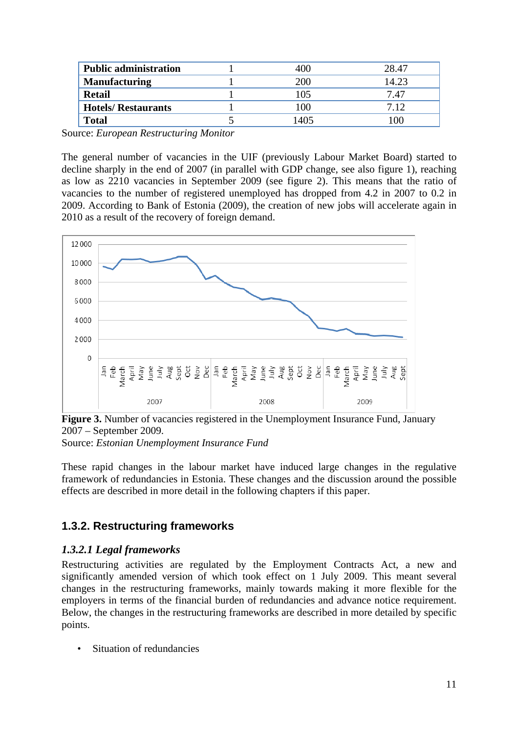| <b>Public administration</b> | 400  | 28.47 |
|------------------------------|------|-------|
| <b>Manufacturing</b>         | 200  | 14.23 |
| <b>Retail</b>                | 105  | 7.47  |
| <b>Hotels/ Restaurants</b>   | 100  | 7.12  |
| <b>Total</b>                 | 1405 |       |

Source: *European Restructuring Monitor* 

The general number of vacancies in the UIF (previously Labour Market Board) started to decline sharply in the end of 2007 (in parallel with GDP change, see also figure 1), reaching as low as 2210 vacancies in September 2009 (see figure 2). This means that the ratio of vacancies to the number of registered unemployed has dropped from 4.2 in 2007 to 0.2 in 2009. According to Bank of Estonia (2009), the creation of new jobs will accelerate again in 2010 as a result of the recovery of foreign demand.



**Figure 3.** Number of vacancies registered in the Unemployment Insurance Fund, January 2007 – September 2009.

Source: *Estonian Unemployment Insurance Fund*

These rapid changes in the labour market have induced large changes in the regulative framework of redundancies in Estonia. These changes and the discussion around the possible effects are described in more detail in the following chapters if this paper.

### <span id="page-10-0"></span>**1.3.2. Restructuring frameworks**

### *1.3.2.1 Legal frameworks*

Restructuring activities are regulated by the Employment Contracts Act, a new and significantly amended version of which took effect on 1 July 2009. This meant several changes in the restructuring frameworks, mainly towards making it more flexible for the employers in terms of the financial burden of redundancies and advance notice requirement. Below, the changes in the restructuring frameworks are described in more detailed by specific points.

• Situation of redundancies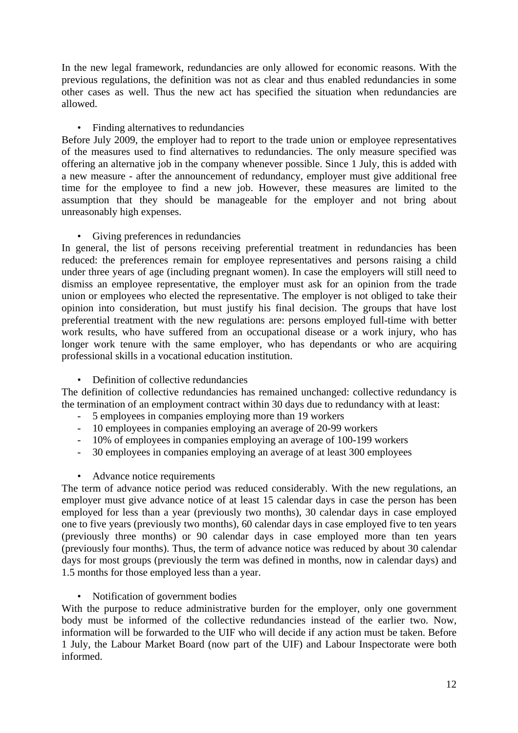In the new legal framework, redundancies are only allowed for economic reasons. With the previous regulations, the definition was not as clear and thus enabled redundancies in some other cases as well. Thus the new act has specified the situation when redundancies are allowed.

#### • Finding alternatives to redundancies

Before July 2009, the employer had to report to the trade union or employee representatives of the measures used to find alternatives to redundancies. The only measure specified was offering an alternative job in the company whenever possible. Since 1 July, this is added with a new measure - after the announcement of redundancy, employer must give additional free time for the employee to find a new job. However, these measures are limited to the assumption that they should be manageable for the employer and not bring about unreasonably high expenses.

#### • Giving preferences in redundancies

In general, the list of persons receiving preferential treatment in redundancies has been reduced: the preferences remain for employee representatives and persons raising a child under three years of age (including pregnant women). In case the employers will still need to dismiss an employee representative, the employer must ask for an opinion from the trade union or employees who elected the representative. The employer is not obliged to take their opinion into consideration, but must justify his final decision. The groups that have lost preferential treatment with the new regulations are: persons employed full-time with better work results, who have suffered from an occupational disease or a work injury, who has longer work tenure with the same employer, who has dependants or who are acquiring professional skills in a vocational education institution.

#### • Definition of collective redundancies

The definition of collective redundancies has remained unchanged: collective redundancy is the termination of an employment contract within 30 days due to redundancy with at least:

- 5 employees in companies employing more than 19 workers
- 10 employees in companies employing an average of 20-99 workers
- 10% of employees in companies employing an average of 100-199 workers
- 30 employees in companies employing an average of at least 300 employees

#### • Advance notice requirements

The term of advance notice period was reduced considerably. With the new regulations, an employer must give advance notice of at least 15 calendar days in case the person has been employed for less than a year (previously two months), 30 calendar days in case employed one to five years (previously two months), 60 calendar days in case employed five to ten years (previously three months) or 90 calendar days in case employed more than ten years (previously four months). Thus, the term of advance notice was reduced by about 30 calendar days for most groups (previously the term was defined in months, now in calendar days) and 1.5 months for those employed less than a year.

#### • Notification of government bodies

With the purpose to reduce administrative burden for the employer, only one government body must be informed of the collective redundancies instead of the earlier two. Now, information will be forwarded to the UIF who will decide if any action must be taken. Before 1 July, the Labour Market Board (now part of the UIF) and Labour Inspectorate were both informed.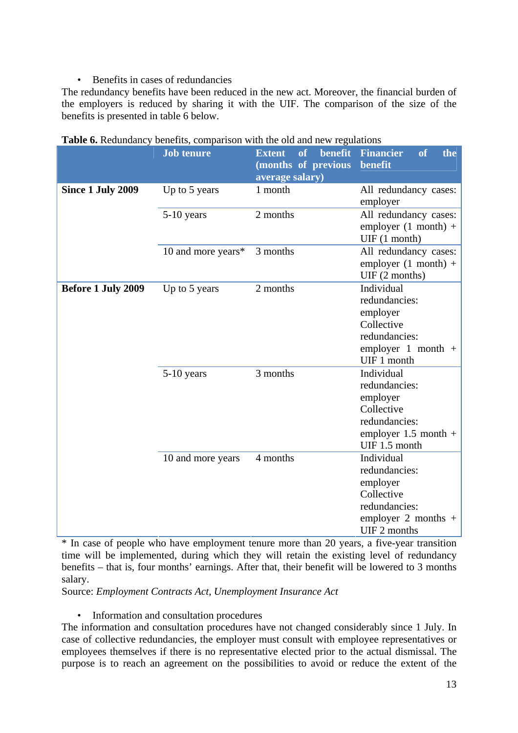#### • Benefits in cases of redundancies

The redundancy benefits have been reduced in the new act. Moreover, the financial burden of the employers is reduced by sharing it with the UIF. The comparison of the size of the benefits is presented in table 6 below.

|                    | <b>Job tenure</b>  | benefit<br><b>Extent</b><br>of | <b>Financier</b><br><b>of</b><br>the                                                                              |
|--------------------|--------------------|--------------------------------|-------------------------------------------------------------------------------------------------------------------|
|                    |                    | (months of previous            | benefit                                                                                                           |
| Since 1 July 2009  | Up to 5 years      | average salary)<br>1 month     | All redundancy cases:<br>employer                                                                                 |
|                    | $5-10$ years       | 2 months                       | All redundancy cases:<br>employer $(1 \text{ month})$ +<br>UIF (1 month)                                          |
|                    | 10 and more years* | 3 months                       | All redundancy cases:<br>employer $(1 \text{ month})$ +<br>UIF(2 months)                                          |
| Before 1 July 2009 | Up to 5 years      | 2 months                       | Individual<br>redundancies:<br>employer<br>Collective<br>redundancies:<br>employer 1 month $+$<br>UIF 1 month     |
|                    | $5-10$ years       | 3 months                       | Individual<br>redundancies:<br>employer<br>Collective<br>redundancies:<br>employer $1.5$ month +<br>UIF 1.5 month |
|                    | 10 and more years  | 4 months                       | Individual<br>redundancies:<br>employer<br>Collective<br>redundancies:<br>employer 2 months $+$<br>UIF 2 months   |

| Table 6. Redundancy benefits, comparison with the old and new regulations |  |  |  |
|---------------------------------------------------------------------------|--|--|--|
|                                                                           |  |  |  |

\* In case of people who have employment tenure more than 20 years, a five-year transition time will be implemented, during which they will retain the existing level of redundancy benefits – that is, four months' earnings. After that, their benefit will be lowered to 3 months salary.

Source: *Employment Contracts Act, Unemployment Insurance Act*

• Information and consultation procedures

The information and consultation procedures have not changed considerably since 1 July. In case of collective redundancies, the employer must consult with employee representatives or employees themselves if there is no representative elected prior to the actual dismissal. The purpose is to reach an agreement on the possibilities to avoid or reduce the extent of the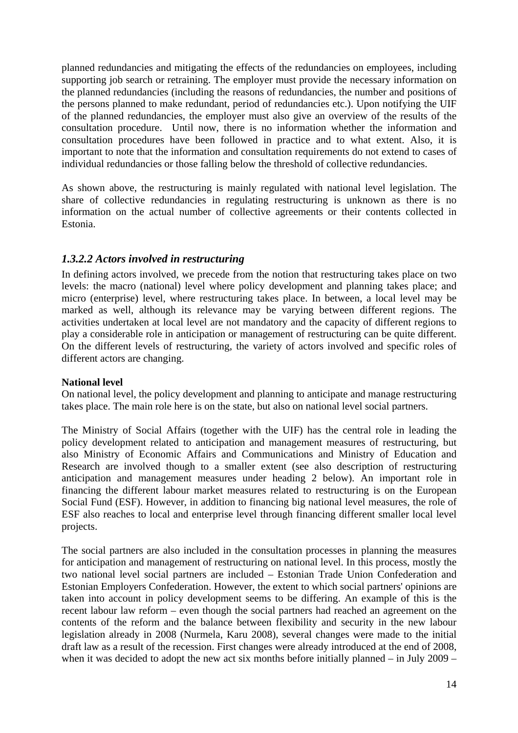planned redundancies and mitigating the effects of the redundancies on employees, including supporting job search or retraining. The employer must provide the necessary information on the planned redundancies (including the reasons of redundancies, the number and positions of the persons planned to make redundant, period of redundancies etc.). Upon notifying the UIF of the planned redundancies, the employer must also give an overview of the results of the consultation procedure. Until now, there is no information whether the information and consultation procedures have been followed in practice and to what extent. Also, it is important to note that the information and consultation requirements do not extend to cases of individual redundancies or those falling below the threshold of collective redundancies.

As shown above, the restructuring is mainly regulated with national level legislation. The share of collective redundancies in regulating restructuring is unknown as there is no information on the actual number of collective agreements or their contents collected in Estonia.

#### *1.3.2.2 Actors involved in restructuring*

In defining actors involved, we precede from the notion that restructuring takes place on two levels: the macro (national) level where policy development and planning takes place; and micro (enterprise) level, where restructuring takes place. In between, a local level may be marked as well, although its relevance may be varying between different regions. The activities undertaken at local level are not mandatory and the capacity of different regions to play a considerable role in anticipation or management of restructuring can be quite different. On the different levels of restructuring, the variety of actors involved and specific roles of different actors are changing.

#### **National level**

On national level, the policy development and planning to anticipate and manage restructuring takes place. The main role here is on the state, but also on national level social partners.

The Ministry of Social Affairs (together with the UIF) has the central role in leading the policy development related to anticipation and management measures of restructuring, but also Ministry of Economic Affairs and Communications and Ministry of Education and Research are involved though to a smaller extent (see also description of restructuring anticipation and management measures under heading 2 below). An important role in financing the different labour market measures related to restructuring is on the European Social Fund (ESF). However, in addition to financing big national level measures, the role of ESF also reaches to local and enterprise level through financing different smaller local level projects.

The social partners are also included in the consultation processes in planning the measures for anticipation and management of restructuring on national level. In this process, mostly the two national level social partners are included – Estonian Trade Union Confederation and Estonian Employers Confederation. However, the extent to which social partners' opinions are taken into account in policy development seems to be differing. An example of this is the recent labour law reform – even though the social partners had reached an agreement on the contents of the reform and the balance between flexibility and security in the new labour legislation already in 2008 (Nurmela, Karu 2008), several changes were made to the initial draft law as a result of the recession. First changes were already introduced at the end of 2008, when it was decided to adopt the new act six months before initially planned – in July 2009 –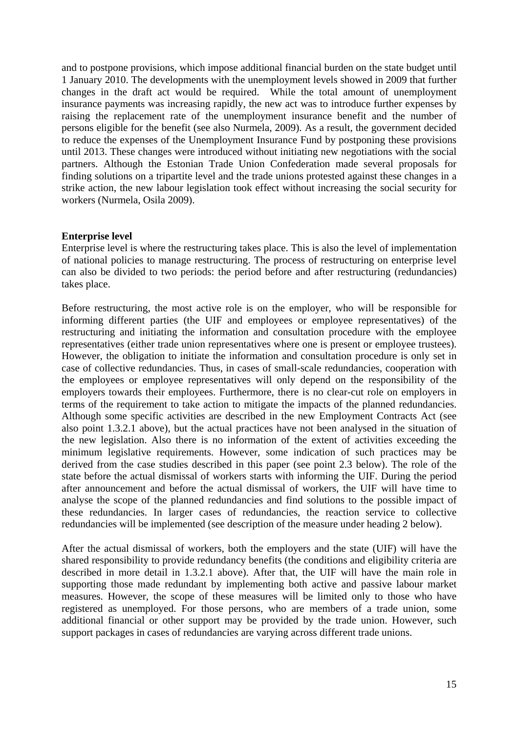and to postpone provisions, which impose additional financial burden on the state budget until 1 January 2010. The developments with the unemployment levels showed in 2009 that further changes in the draft act would be required. While the total amount of unemployment insurance payments was increasing rapidly, the new act was to introduce further expenses by raising the replacement rate of the unemployment insurance benefit and the number of persons eligible for the benefit (see also Nurmela, 2009). As a result, the government decided to reduce the expenses of the Unemployment Insurance Fund by postponing these provisions until 2013. These changes were introduced without initiating new negotiations with the social partners. Although the Estonian Trade Union Confederation made several proposals for finding solutions on a tripartite level and the trade unions protested against these changes in a strike action, the new labour legislation took effect without increasing the social security for workers (Nurmela, Osila 2009).

#### **Enterprise level**

Enterprise level is where the restructuring takes place. This is also the level of implementation of national policies to manage restructuring. The process of restructuring on enterprise level can also be divided to two periods: the period before and after restructuring (redundancies) takes place.

Before restructuring, the most active role is on the employer, who will be responsible for informing different parties (the UIF and employees or employee representatives) of the restructuring and initiating the information and consultation procedure with the employee representatives (either trade union representatives where one is present or employee trustees). However, the obligation to initiate the information and consultation procedure is only set in case of collective redundancies. Thus, in cases of small-scale redundancies, cooperation with the employees or employee representatives will only depend on the responsibility of the employers towards their employees. Furthermore, there is no clear-cut role on employers in terms of the requirement to take action to mitigate the impacts of the planned redundancies. Although some specific activities are described in the new Employment Contracts Act (see also point 1.3.2.1 above), but the actual practices have not been analysed in the situation of the new legislation. Also there is no information of the extent of activities exceeding the minimum legislative requirements. However, some indication of such practices may be derived from the case studies described in this paper (see point 2.3 below). The role of the state before the actual dismissal of workers starts with informing the UIF. During the period after announcement and before the actual dismissal of workers, the UIF will have time to analyse the scope of the planned redundancies and find solutions to the possible impact of these redundancies. In larger cases of redundancies, the reaction service to collective redundancies will be implemented (see description of the measure under heading 2 below).

After the actual dismissal of workers, both the employers and the state (UIF) will have the shared responsibility to provide redundancy benefits (the conditions and eligibility criteria are described in more detail in 1.3.2.1 above). After that, the UIF will have the main role in supporting those made redundant by implementing both active and passive labour market measures. However, the scope of these measures will be limited only to those who have registered as unemployed. For those persons, who are members of a trade union, some additional financial or other support may be provided by the trade union. However, such support packages in cases of redundancies are varying across different trade unions.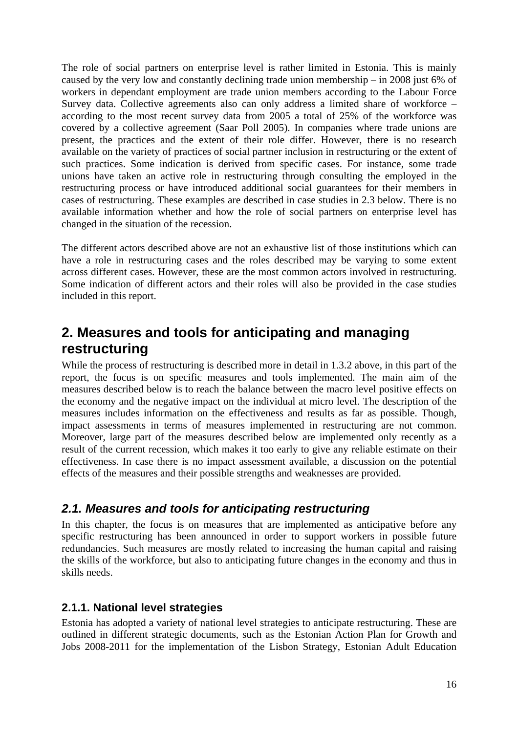The role of social partners on enterprise level is rather limited in Estonia. This is mainly caused by the very low and constantly declining trade union membership – in 2008 just 6% of workers in dependant employment are trade union members according to the Labour Force Survey data. Collective agreements also can only address a limited share of workforce – according to the most recent survey data from 2005 a total of 25% of the workforce was covered by a collective agreement (Saar Poll 2005). In companies where trade unions are present, the practices and the extent of their role differ. However, there is no research available on the variety of practices of social partner inclusion in restructuring or the extent of such practices. Some indication is derived from specific cases. For instance, some trade unions have taken an active role in restructuring through consulting the employed in the restructuring process or have introduced additional social guarantees for their members in cases of restructuring. These examples are described in case studies in 2.3 below. There is no available information whether and how the role of social partners on enterprise level has changed in the situation of the recession.

The different actors described above are not an exhaustive list of those institutions which can have a role in restructuring cases and the roles described may be varying to some extent across different cases. However, these are the most common actors involved in restructuring. Some indication of different actors and their roles will also be provided in the case studies included in this report.

## <span id="page-15-0"></span>**2. Measures and tools for anticipating and managing restructuring**

While the process of restructuring is described more in detail in 1.3.2 above, in this part of the report, the focus is on specific measures and tools implemented. The main aim of the measures described below is to reach the balance between the macro level positive effects on the economy and the negative impact on the individual at micro level. The description of the measures includes information on the effectiveness and results as far as possible. Though, impact assessments in terms of measures implemented in restructuring are not common. Moreover, large part of the measures described below are implemented only recently as a result of the current recession, which makes it too early to give any reliable estimate on their effectiveness. In case there is no impact assessment available, a discussion on the potential effects of the measures and their possible strengths and weaknesses are provided.

### <span id="page-15-1"></span>*2.1. Measures and tools for anticipating restructuring*

In this chapter, the focus is on measures that are implemented as anticipative before any specific restructuring has been announced in order to support workers in possible future redundancies. Such measures are mostly related to increasing the human capital and raising the skills of the workforce, but also to anticipating future changes in the economy and thus in skills needs.

### <span id="page-15-2"></span>**2.1.1. National level strategies**

Estonia has adopted a variety of national level strategies to anticipate restructuring. These are outlined in different strategic documents, such as the Estonian Action Plan for Growth and Jobs 2008-2011 for the implementation of the Lisbon Strategy, Estonian Adult Education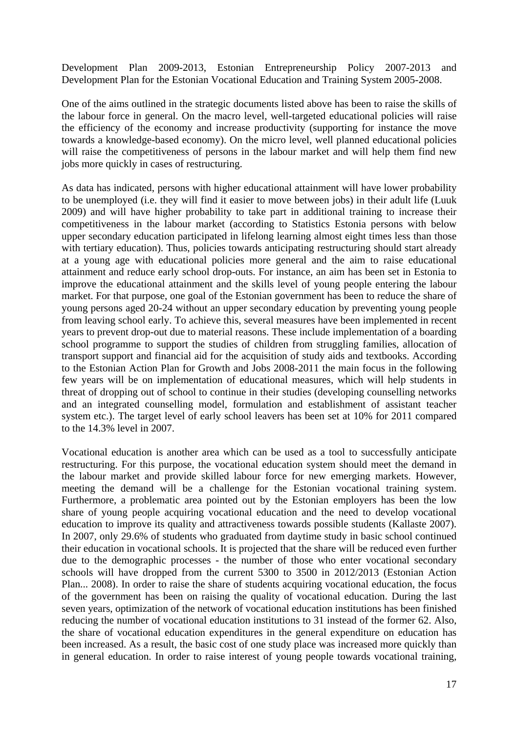Development Plan 2009-2013, Estonian Entrepreneurship Policy 2007-2013 and Development Plan for the Estonian Vocational Education and Training System 2005-2008.

One of the aims outlined in the strategic documents listed above has been to raise the skills of the labour force in general. On the macro level, well-targeted educational policies will raise the efficiency of the economy and increase productivity (supporting for instance the move towards a knowledge-based economy). On the micro level, well planned educational policies will raise the competitiveness of persons in the labour market and will help them find new jobs more quickly in cases of restructuring.

As data has indicated, persons with higher educational attainment will have lower probability to be unemployed (i.e. they will find it easier to move between jobs) in their adult life (Luuk 2009) and will have higher probability to take part in additional training to increase their competitiveness in the labour market (according to Statistics Estonia persons with below upper secondary education participated in lifelong learning almost eight times less than those with tertiary education). Thus, policies towards anticipating restructuring should start already at a young age with educational policies more general and the aim to raise educational attainment and reduce early school drop-outs. For instance, an aim has been set in Estonia to improve the educational attainment and the skills level of young people entering the labour market. For that purpose, one goal of the Estonian government has been to reduce the share of young persons aged 20-24 without an upper secondary education by preventing young people from leaving school early. To achieve this, several measures have been implemented in recent years to prevent drop-out due to material reasons. These include implementation of a boarding school programme to support the studies of children from struggling families, allocation of transport support and financial aid for the acquisition of study aids and textbooks. According to the Estonian Action Plan for Growth and Jobs 2008-2011 the main focus in the following few years will be on implementation of educational measures, which will help students in threat of dropping out of school to continue in their studies (developing counselling networks and an integrated counselling model, formulation and establishment of assistant teacher system etc.). The target level of early school leavers has been set at 10% for 2011 compared to the 14.3% level in 2007.

Vocational education is another area which can be used as a tool to successfully anticipate restructuring. For this purpose, the vocational education system should meet the demand in the labour market and provide skilled labour force for new emerging markets. However, meeting the demand will be a challenge for the Estonian vocational training system. Furthermore, a problematic area pointed out by the Estonian employers has been the low share of young people acquiring vocational education and the need to develop vocational education to improve its quality and attractiveness towards possible students (Kallaste 2007). In 2007, only 29.6% of students who graduated from daytime study in basic school continued their education in vocational schools. It is projected that the share will be reduced even further due to the demographic processes - the number of those who enter vocational secondary schools will have dropped from the current 5300 to 3500 in 2012/2013 (Estonian Action Plan... 2008). In order to raise the share of students acquiring vocational education, the focus of the government has been on raising the quality of vocational education. During the last seven years, optimization of the network of vocational education institutions has been finished reducing the number of vocational education institutions to 31 instead of the former 62. Also, the share of vocational education expenditures in the general expenditure on education has been increased. As a result, the basic cost of one study place was increased more quickly than in general education. In order to raise interest of young people towards vocational training,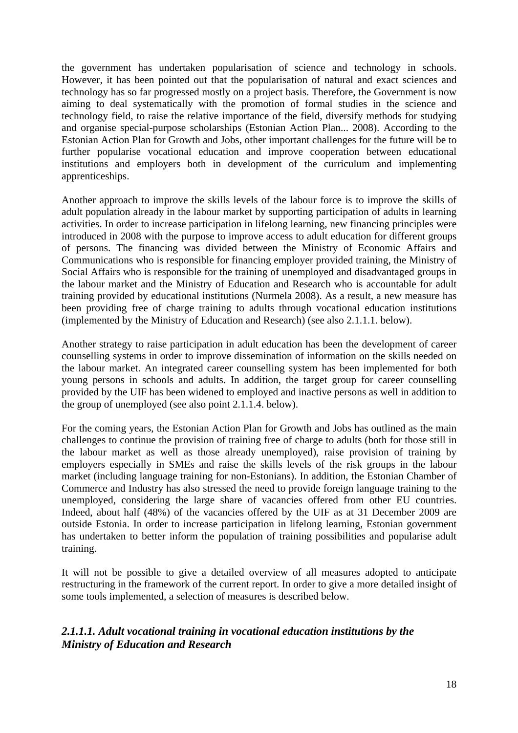the government has undertaken popularisation of science and technology in schools. However, it has been pointed out that the popularisation of natural and exact sciences and technology has so far progressed mostly on a project basis. Therefore, the Government is now aiming to deal systematically with the promotion of formal studies in the science and technology field, to raise the relative importance of the field, diversify methods for studying and organise special-purpose scholarships (Estonian Action Plan... 2008). According to the Estonian Action Plan for Growth and Jobs, other important challenges for the future will be to further popularise vocational education and improve cooperation between educational institutions and employers both in development of the curriculum and implementing apprenticeships.

Another approach to improve the skills levels of the labour force is to improve the skills of adult population already in the labour market by supporting participation of adults in learning activities. In order to increase participation in lifelong learning, new financing principles were introduced in 2008 with the purpose to improve access to adult education for different groups of persons. The financing was divided between the Ministry of Economic Affairs and Communications who is responsible for financing employer provided training, the Ministry of Social Affairs who is responsible for the training of unemployed and disadvantaged groups in the labour market and the Ministry of Education and Research who is accountable for adult training provided by educational institutions (Nurmela 2008). As a result, a new measure has been providing free of charge training to adults through vocational education institutions (implemented by the Ministry of Education and Research) (see also 2.1.1.1. below).

Another strategy to raise participation in adult education has been the development of career counselling systems in order to improve dissemination of information on the skills needed on the labour market. An integrated career counselling system has been implemented for both young persons in schools and adults. In addition, the target group for career counselling provided by the UIF has been widened to employed and inactive persons as well in addition to the group of unemployed (see also point 2.1.1.4. below).

For the coming years, the Estonian Action Plan for Growth and Jobs has outlined as the main challenges to continue the provision of training free of charge to adults (both for those still in the labour market as well as those already unemployed), raise provision of training by employers especially in SMEs and raise the skills levels of the risk groups in the labour market (including language training for non-Estonians). In addition, the Estonian Chamber of Commerce and Industry has also stressed the need to provide foreign language training to the unemployed, considering the large share of vacancies offered from other EU countries. Indeed, about half (48%) of the vacancies offered by the UIF as at 31 December 2009 are outside Estonia. In order to increase participation in lifelong learning, Estonian government has undertaken to better inform the population of training possibilities and popularise adult training.

It will not be possible to give a detailed overview of all measures adopted to anticipate restructuring in the framework of the current report. In order to give a more detailed insight of some tools implemented, a selection of measures is described below.

### *2.1.1.1. Adult vocational training in vocational education institutions by the Ministry of Education and Research*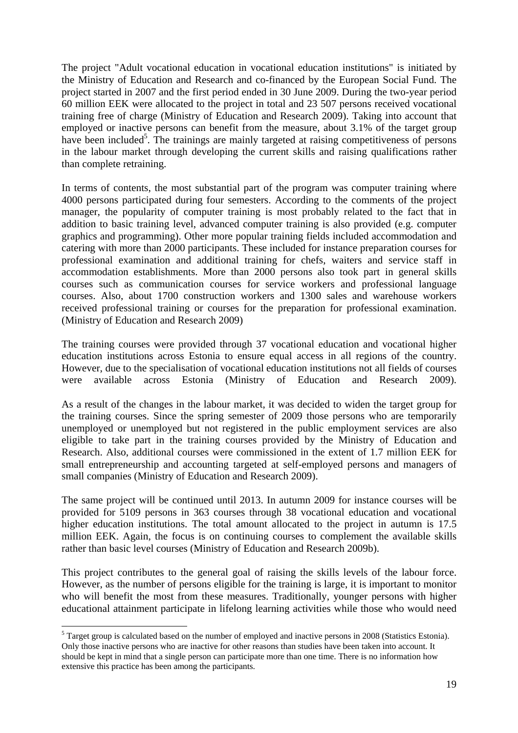The project "Adult vocational education in vocational education institutions" is initiated by the Ministry of Education and Research and co-financed by the European Social Fund. The project started in 2007 and the first period ended in 30 June 2009. During the two-year period 60 million EEK were allocated to the project in total and 23 507 persons received vocational training free of charge (Ministry of Education and Research 2009). Taking into account that employed or inactive persons can benefit from the measure, about 3.1% of the target group have been included<sup>5</sup>. The trainings are mainly targeted at raising competitiveness of persons in the labour market through developing the current skills and raising qualifications rather than complete retraining.

In terms of contents, the most substantial part of the program was computer training where 4000 persons participated during four semesters. According to the comments of the project manager, the popularity of computer training is most probably related to the fact that in addition to basic training level, advanced computer training is also provided (e.g. computer graphics and programming). Other more popular training fields included accommodation and catering with more than 2000 participants. These included for instance preparation courses for professional examination and additional training for chefs, waiters and service staff in accommodation establishments. More than 2000 persons also took part in general skills courses such as communication courses for service workers and professional language courses. Also, about 1700 construction workers and 1300 sales and warehouse workers received professional training or courses for the preparation for professional examination. (Ministry of Education and Research 2009)

The training courses were provided through 37 vocational education and vocational higher education institutions across Estonia to ensure equal access in all regions of the country. However, due to the specialisation of vocational education institutions not all fields of courses were available across Estonia (Ministry of Education and Research 2009).

As a result of the changes in the labour market, it was decided to widen the target group for the training courses. Since the spring semester of 2009 those persons who are temporarily unemployed or unemployed but not registered in the public employment services are also eligible to take part in the training courses provided by the Ministry of Education and Research. Also, additional courses were commissioned in the extent of 1.7 million EEK for small entrepreneurship and accounting targeted at self-employed persons and managers of small companies (Ministry of Education and Research 2009).

The same project will be continued until 2013. In autumn 2009 for instance courses will be provided for 5109 persons in 363 courses through 38 vocational education and vocational higher education institutions. The total amount allocated to the project in autumn is 17.5 million EEK. Again, the focus is on continuing courses to complement the available skills rather than basic level courses (Ministry of Education and Research 2009b).

This project contributes to the general goal of raising the skills levels of the labour force. However, as the number of persons eligible for the training is large, it is important to monitor who will benefit the most from these measures. Traditionally, younger persons with higher educational attainment participate in lifelong learning activities while those who would need

1

 $<sup>5</sup>$  Target group is calculated based on the number of employed and inactive persons in 2008 (Statistics Estonia).</sup> Only those inactive persons who are inactive for other reasons than studies have been taken into account. It should be kept in mind that a single person can participate more than one time. There is no information how extensive this practice has been among the participants.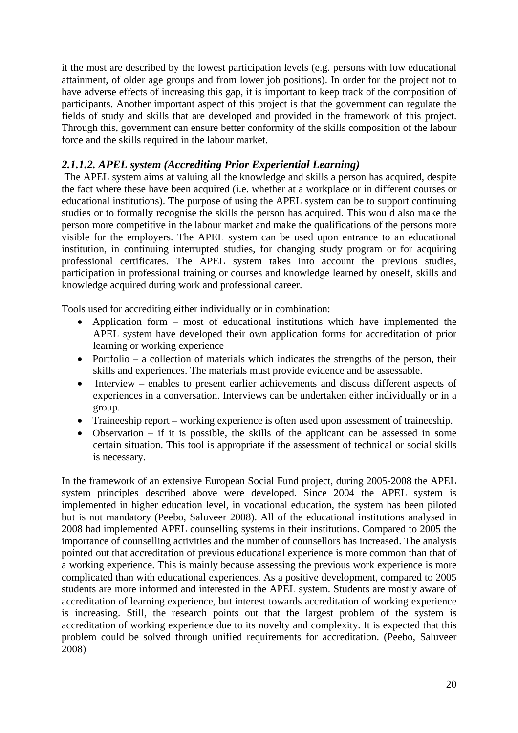it the most are described by the lowest participation levels (e.g. persons with low educational attainment, of older age groups and from lower job positions). In order for the project not to have adverse effects of increasing this gap, it is important to keep track of the composition of participants. Another important aspect of this project is that the government can regulate the fields of study and skills that are developed and provided in the framework of this project. Through this, government can ensure better conformity of the skills composition of the labour force and the skills required in the labour market.

### *2.1.1.2. APEL system (Accrediting Prior Experiential Learning)*

 The APEL system aims at valuing all the knowledge and skills a person has acquired, despite the fact where these have been acquired (i.e. whether at a workplace or in different courses or educational institutions). The purpose of using the APEL system can be to support continuing studies or to formally recognise the skills the person has acquired. This would also make the person more competitive in the labour market and make the qualifications of the persons more visible for the employers. The APEL system can be used upon entrance to an educational institution, in continuing interrupted studies, for changing study program or for acquiring professional certificates. The APEL system takes into account the previous studies, participation in professional training or courses and knowledge learned by oneself, skills and knowledge acquired during work and professional career.

Tools used for accrediting either individually or in combination:

- Application form most of educational institutions which have implemented the APEL system have developed their own application forms for accreditation of prior learning or working experience
- Portfolio a collection of materials which indicates the strengths of the person, their skills and experiences. The materials must provide evidence and be assessable.
- Interview enables to present earlier achievements and discuss different aspects of experiences in a conversation. Interviews can be undertaken either individually or in a group.
- Traineeship report working experience is often used upon assessment of traineeship.
- Observation if it is possible, the skills of the applicant can be assessed in some certain situation. This tool is appropriate if the assessment of technical or social skills is necessary.

In the framework of an extensive European Social Fund project, during 2005-2008 the APEL system principles described above were developed. Since 2004 the APEL system is implemented in higher education level, in vocational education, the system has been piloted but is not mandatory (Peebo, Saluveer 2008). All of the educational institutions analysed in 2008 had implemented APEL counselling systems in their institutions. Compared to 2005 the importance of counselling activities and the number of counsellors has increased. The analysis pointed out that accreditation of previous educational experience is more common than that of a working experience. This is mainly because assessing the previous work experience is more complicated than with educational experiences. As a positive development, compared to 2005 students are more informed and interested in the APEL system. Students are mostly aware of accreditation of learning experience, but interest towards accreditation of working experience is increasing. Still, the research points out that the largest problem of the system is accreditation of working experience due to its novelty and complexity. It is expected that this problem could be solved through unified requirements for accreditation. (Peebo, Saluveer 2008)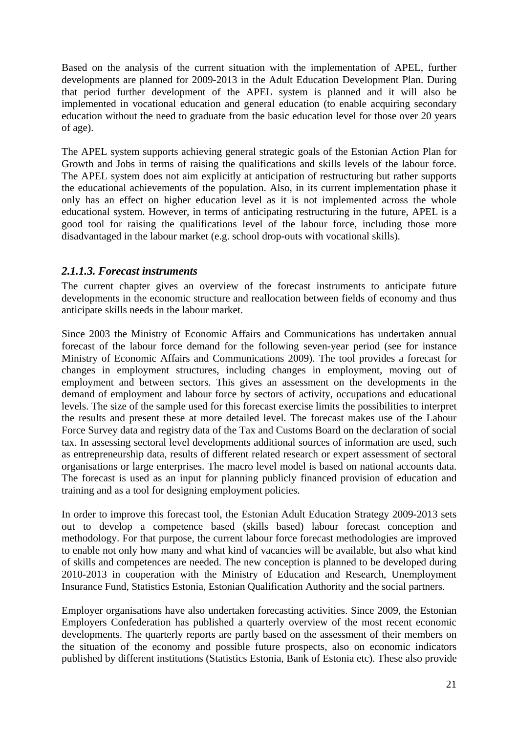Based on the analysis of the current situation with the implementation of APEL, further developments are planned for 2009-2013 in the Adult Education Development Plan. During that period further development of the APEL system is planned and it will also be implemented in vocational education and general education (to enable acquiring secondary education without the need to graduate from the basic education level for those over 20 years of age).

The APEL system supports achieving general strategic goals of the Estonian Action Plan for Growth and Jobs in terms of raising the qualifications and skills levels of the labour force. The APEL system does not aim explicitly at anticipation of restructuring but rather supports the educational achievements of the population. Also, in its current implementation phase it only has an effect on higher education level as it is not implemented across the whole educational system. However, in terms of anticipating restructuring in the future, APEL is a good tool for raising the qualifications level of the labour force, including those more disadvantaged in the labour market (e.g. school drop-outs with vocational skills).

#### *2.1.1.3. Forecast instruments*

The current chapter gives an overview of the forecast instruments to anticipate future developments in the economic structure and reallocation between fields of economy and thus anticipate skills needs in the labour market.

Since 2003 the Ministry of Economic Affairs and Communications has undertaken annual forecast of the labour force demand for the following seven-year period (see for instance Ministry of Economic Affairs and Communications 2009). The tool provides a forecast for changes in employment structures, including changes in employment, moving out of employment and between sectors. This gives an assessment on the developments in the demand of employment and labour force by sectors of activity, occupations and educational levels. The size of the sample used for this forecast exercise limits the possibilities to interpret the results and present these at more detailed level. The forecast makes use of the Labour Force Survey data and registry data of the Tax and Customs Board on the declaration of social tax. In assessing sectoral level developments additional sources of information are used, such as entrepreneurship data, results of different related research or expert assessment of sectoral organisations or large enterprises. The macro level model is based on national accounts data. The forecast is used as an input for planning publicly financed provision of education and training and as a tool for designing employment policies.

In order to improve this forecast tool, the Estonian Adult Education Strategy 2009-2013 sets out to develop a competence based (skills based) labour forecast conception and methodology. For that purpose, the current labour force forecast methodologies are improved to enable not only how many and what kind of vacancies will be available, but also what kind of skills and competences are needed. The new conception is planned to be developed during 2010-2013 in cooperation with the Ministry of Education and Research, Unemployment Insurance Fund, Statistics Estonia, Estonian Qualification Authority and the social partners.

Employer organisations have also undertaken forecasting activities. Since 2009, the Estonian Employers Confederation has published a quarterly overview of the most recent economic developments. The quarterly reports are partly based on the assessment of their members on the situation of the economy and possible future prospects, also on economic indicators published by different institutions (Statistics Estonia, Bank of Estonia etc). These also provide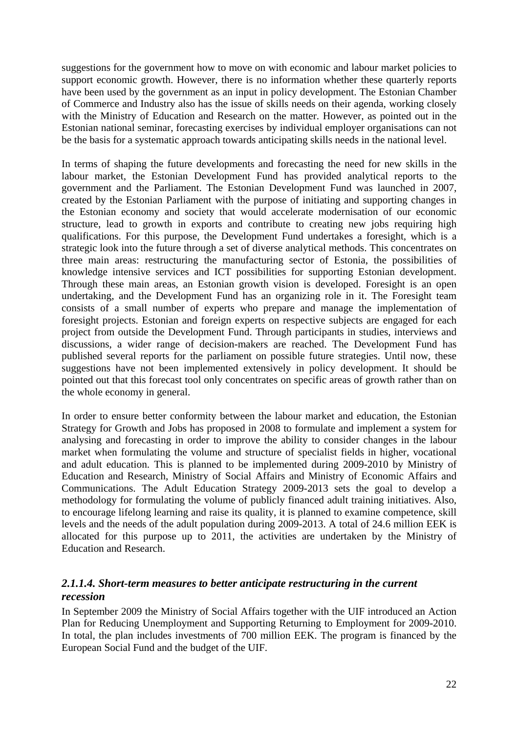suggestions for the government how to move on with economic and labour market policies to support economic growth. However, there is no information whether these quarterly reports have been used by the government as an input in policy development. The Estonian Chamber of Commerce and Industry also has the issue of skills needs on their agenda, working closely with the Ministry of Education and Research on the matter. However, as pointed out in the Estonian national seminar, forecasting exercises by individual employer organisations can not be the basis for a systematic approach towards anticipating skills needs in the national level.

In terms of shaping the future developments and forecasting the need for new skills in the labour market, the Estonian Development Fund has provided analytical reports to the government and the Parliament. The Estonian Development Fund was launched in 2007, created by the Estonian Parliament with the purpose of initiating and supporting changes in the Estonian economy and society that would accelerate modernisation of our economic structure, lead to growth in exports and contribute to creating new jobs requiring high qualifications. For this purpose, the Development Fund undertakes a foresight, which is a strategic look into the future through a set of diverse analytical methods. This concentrates on three main areas: restructuring the manufacturing sector of Estonia, the possibilities of knowledge intensive services and ICT possibilities for supporting Estonian development. Through these main areas, an Estonian growth vision is developed. Foresight is an open undertaking, and the Development Fund has an organizing role in it. The Foresight team consists of a small number of experts who prepare and manage the implementation of foresight projects. Estonian and foreign experts on respective subjects are engaged for each project from outside the Development Fund. Through participants in studies, interviews and discussions, a wider range of decision-makers are reached. The Development Fund has published several reports for the parliament on possible future strategies. Until now, these suggestions have not been implemented extensively in policy development. It should be pointed out that this forecast tool only concentrates on specific areas of growth rather than on the whole economy in general.

In order to ensure better conformity between the labour market and education, the Estonian Strategy for Growth and Jobs has proposed in 2008 to formulate and implement a system for analysing and forecasting in order to improve the ability to consider changes in the labour market when formulating the volume and structure of specialist fields in higher, vocational and adult education. This is planned to be implemented during 2009-2010 by Ministry of Education and Research, Ministry of Social Affairs and Ministry of Economic Affairs and Communications. The Adult Education Strategy 2009-2013 sets the goal to develop a methodology for formulating the volume of publicly financed adult training initiatives. Also, to encourage lifelong learning and raise its quality, it is planned to examine competence, skill levels and the needs of the adult population during 2009-2013. A total of 24.6 million EEK is allocated for this purpose up to 2011, the activities are undertaken by the Ministry of Education and Research.

### *2.1.1.4. Short-term measures to better anticipate restructuring in the current recession*

In September 2009 the Ministry of Social Affairs together with the UIF introduced an Action Plan for Reducing Unemployment and Supporting Returning to Employment for 2009-2010. In total, the plan includes investments of 700 million EEK. The program is financed by the European Social Fund and the budget of the UIF.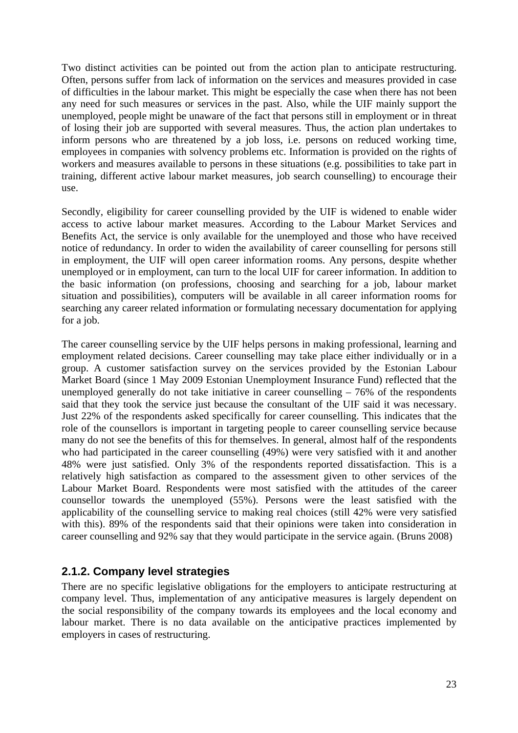Two distinct activities can be pointed out from the action plan to anticipate restructuring. Often, persons suffer from lack of information on the services and measures provided in case of difficulties in the labour market. This might be especially the case when there has not been any need for such measures or services in the past. Also, while the UIF mainly support the unemployed, people might be unaware of the fact that persons still in employment or in threat of losing their job are supported with several measures. Thus, the action plan undertakes to inform persons who are threatened by a job loss, i.e. persons on reduced working time, employees in companies with solvency problems etc. Information is provided on the rights of workers and measures available to persons in these situations (e.g. possibilities to take part in training, different active labour market measures, job search counselling) to encourage their use.

Secondly, eligibility for career counselling provided by the UIF is widened to enable wider access to active labour market measures. According to the Labour Market Services and Benefits Act, the service is only available for the unemployed and those who have received notice of redundancy. In order to widen the availability of career counselling for persons still in employment, the UIF will open career information rooms. Any persons, despite whether unemployed or in employment, can turn to the local UIF for career information. In addition to the basic information (on professions, choosing and searching for a job, labour market situation and possibilities), computers will be available in all career information rooms for searching any career related information or formulating necessary documentation for applying for a job.

The career counselling service by the UIF helps persons in making professional, learning and employment related decisions. Career counselling may take place either individually or in a group. A customer satisfaction survey on the services provided by the Estonian Labour Market Board (since 1 May 2009 Estonian Unemployment Insurance Fund) reflected that the unemployed generally do not take initiative in career counselling  $-76\%$  of the respondents said that they took the service just because the consultant of the UIF said it was necessary. Just 22% of the respondents asked specifically for career counselling. This indicates that the role of the counsellors is important in targeting people to career counselling service because many do not see the benefits of this for themselves. In general, almost half of the respondents who had participated in the career counselling (49%) were very satisfied with it and another 48% were just satisfied. Only 3% of the respondents reported dissatisfaction. This is a relatively high satisfaction as compared to the assessment given to other services of the Labour Market Board. Respondents were most satisfied with the attitudes of the career counsellor towards the unemployed (55%). Persons were the least satisfied with the applicability of the counselling service to making real choices (still 42% were very satisfied with this). 89% of the respondents said that their opinions were taken into consideration in career counselling and 92% say that they would participate in the service again. (Bruns 2008)

### <span id="page-22-0"></span>**2.1.2. Company level strategies**

There are no specific legislative obligations for the employers to anticipate restructuring at company level. Thus, implementation of any anticipative measures is largely dependent on the social responsibility of the company towards its employees and the local economy and labour market. There is no data available on the anticipative practices implemented by employers in cases of restructuring.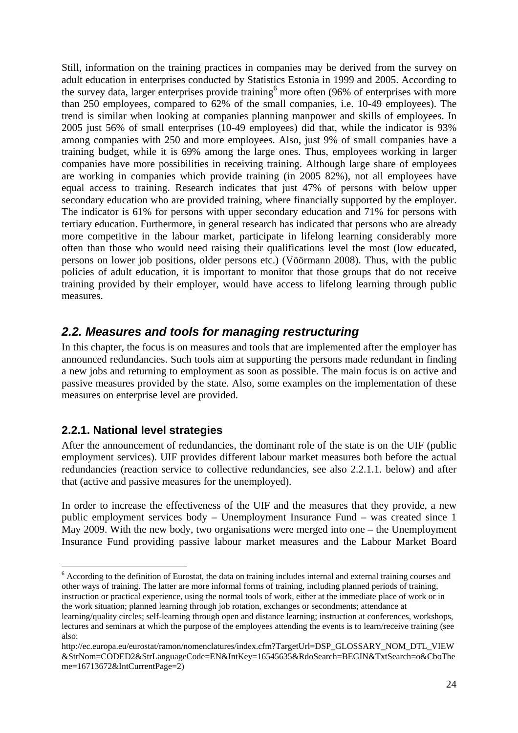Still, information on the training practices in companies may be derived from the survey on adult education in enterprises conducted by Statistics Estonia in 1999 and 2005. According to the survey data, larger enterprises provide training<sup>6</sup> more often (96% of enterprises with more than 250 employees, compared to 62% of the small companies, i.e. 10-49 employees). The trend is similar when looking at companies planning manpower and skills of employees. In 2005 just 56% of small enterprises (10-49 employees) did that, while the indicator is 93% among companies with 250 and more employees. Also, just 9% of small companies have a training budget, while it is 69% among the large ones. Thus, employees working in larger companies have more possibilities in receiving training. Although large share of employees are working in companies which provide training (in 2005 82%), not all employees have equal access to training. Research indicates that just 47% of persons with below upper secondary education who are provided training, where financially supported by the employer. The indicator is 61% for persons with upper secondary education and 71% for persons with tertiary education. Furthermore, in general research has indicated that persons who are already more competitive in the labour market, participate in lifelong learning considerably more often than those who would need raising their qualifications level the most (low educated, persons on lower job positions, older persons etc.) (Vöörmann 2008). Thus, with the public policies of adult education, it is important to monitor that those groups that do not receive training provided by their employer, would have access to lifelong learning through public measures.

### <span id="page-23-0"></span>*2.2. Measures and tools for managing restructuring*

In this chapter, the focus is on measures and tools that are implemented after the employer has announced redundancies. Such tools aim at supporting the persons made redundant in finding a new jobs and returning to employment as soon as possible. The main focus is on active and passive measures provided by the state. Also, some examples on the implementation of these measures on enterprise level are provided.

### <span id="page-23-1"></span>**2.2.1. National level strategies**

After the announcement of redundancies, the dominant role of the state is on the UIF (public employment services). UIF provides different labour market measures both before the actual redundancies (reaction service to collective redundancies, see also 2.2.1.1. below) and after that (active and passive measures for the unemployed).

In order to increase the effectiveness of the UIF and the measures that they provide, a new public employment services body – Unemployment Insurance Fund – was created since 1 May 2009. With the new body, two organisations were merged into one – the Unemployment Insurance Fund providing passive labour market measures and the Labour Market Board

<sup>1</sup> <sup>6</sup> According to the definition of Eurostat, the data on training includes internal and external training courses and other ways of training. The latter are more informal forms of training, including planned periods of training, instruction or practical experience, using the normal tools of work, either at the immediate place of work or in

the work situation; planned learning through job rotation, exchanges or secondments; attendance at learning/quality circles; self-learning through open and distance learning; instruction at conferences, workshops, lectures and seminars at which the purpose of the employees attending the events is to learn/receive training (see

also:

http://ec.europa.eu/eurostat/ramon/nomenclatures/index.cfm?TargetUrl=DSP\_GLOSSARY\_NOM\_DTL\_VIEW &StrNom=CODED2&StrLanguageCode=EN&IntKey=16545635&RdoSearch=BEGIN&TxtSearch=o&CboThe me=16713672&IntCurrentPage=2)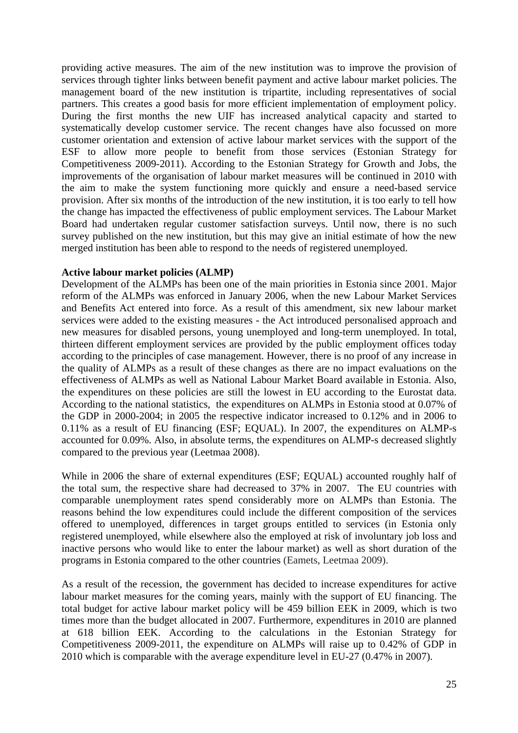providing active measures. The aim of the new institution was to improve the provision of services through tighter links between benefit payment and active labour market policies. The management board of the new institution is tripartite, including representatives of social partners. This creates a good basis for more efficient implementation of employment policy. During the first months the new UIF has increased analytical capacity and started to systematically develop customer service. The recent changes have also focussed on more customer orientation and extension of active labour market services with the support of the ESF to allow more people to benefit from those services (Estonian Strategy for Competitiveness 2009-2011). According to the Estonian Strategy for Growth and Jobs, the improvements of the organisation of labour market measures will be continued in 2010 with the aim to make the system functioning more quickly and ensure a need-based service provision. After six months of the introduction of the new institution, it is too early to tell how the change has impacted the effectiveness of public employment services. The Labour Market Board had undertaken regular customer satisfaction surveys. Until now, there is no such survey published on the new institution, but this may give an initial estimate of how the new merged institution has been able to respond to the needs of registered unemployed.

#### **Active labour market policies (ALMP)**

Development of the ALMPs has been one of the main priorities in Estonia since 2001. Major reform of the ALMPs was enforced in January 2006, when the new Labour Market Services and Benefits Act entered into force. As a result of this amendment, six new labour market services were added to the existing measures - the Act introduced personalised approach and new measures for disabled persons, young unemployed and long-term unemployed. In total, thirteen different employment services are provided by the public employment offices today according to the principles of case management. However, there is no proof of any increase in the quality of ALMPs as a result of these changes as there are no impact evaluations on the effectiveness of ALMPs as well as National Labour Market Board available in Estonia. Also, the expenditures on these policies are still the lowest in EU according to the Eurostat data. According to the national statistics, the expenditures on ALMPs in Estonia stood at 0.07% of the GDP in 2000-2004; in 2005 the respective indicator increased to 0.12% and in 2006 to 0.11% as a result of EU financing (ESF; EQUAL). In 2007, the expenditures on ALMP-s accounted for 0.09%. Also, in absolute terms, the expenditures on ALMP-s decreased slightly compared to the previous year (Leetmaa 2008).

While in 2006 the share of external expenditures (ESF; EQUAL) accounted roughly half of the total sum, the respective share had decreased to 37% in 2007. The EU countries with comparable unemployment rates spend considerably more on ALMPs than Estonia. The reasons behind the low expenditures could include the different composition of the services offered to unemployed, differences in target groups entitled to services (in Estonia only registered unemployed, while elsewhere also the employed at risk of involuntary job loss and inactive persons who would like to enter the labour market) as well as short duration of the programs in Estonia compared to the other countries (Eamets, Leetmaa 2009).

As a result of the recession, the government has decided to increase expenditures for active labour market measures for the coming years, mainly with the support of EU financing. The total budget for active labour market policy will be 459 billion EEK in 2009, which is two times more than the budget allocated in 2007. Furthermore, expenditures in 2010 are planned at 618 billion EEK. According to the calculations in the Estonian Strategy for Competitiveness 2009-2011, the expenditure on ALMPs will raise up to 0.42% of GDP in 2010 which is comparable with the average expenditure level in EU-27 (0.47% in 2007).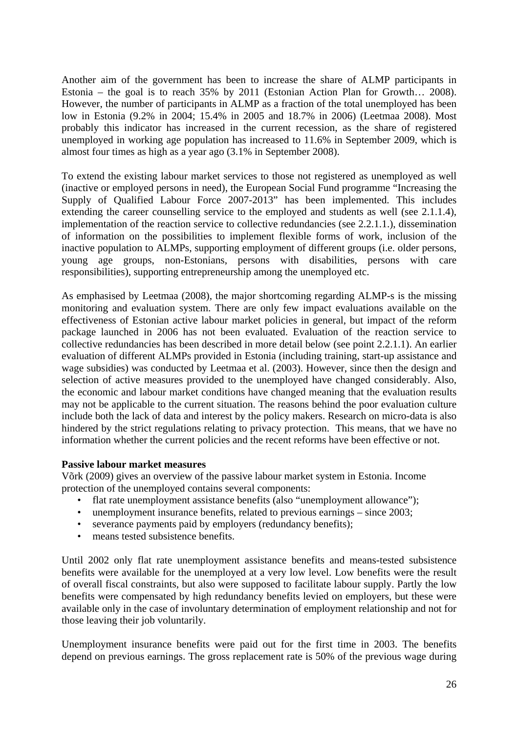Another aim of the government has been to increase the share of ALMP participants in Estonia – the goal is to reach 35% by 2011 (Estonian Action Plan for Growth… 2008). However, the number of participants in ALMP as a fraction of the total unemployed has been low in Estonia (9.2% in 2004; 15.4% in 2005 and 18.7% in 2006) (Leetmaa 2008). Most probably this indicator has increased in the current recession, as the share of registered unemployed in working age population has increased to 11.6% in September 2009, which is almost four times as high as a year ago (3.1% in September 2008).

To extend the existing labour market services to those not registered as unemployed as well (inactive or employed persons in need), the European Social Fund programme "Increasing the Supply of Qualified Labour Force 2007-2013" has been implemented. This includes extending the career counselling service to the employed and students as well (see 2.1.1.4), implementation of the reaction service to collective redundancies (see 2.2.1.1.), dissemination of information on the possibilities to implement flexible forms of work, inclusion of the inactive population to ALMPs, supporting employment of different groups (i.e. older persons, young age groups, non-Estonians, persons with disabilities, persons with care responsibilities), supporting entrepreneurship among the unemployed etc.

As emphasised by Leetmaa (2008), the major shortcoming regarding ALMP-s is the missing monitoring and evaluation system. There are only few impact evaluations available on the effectiveness of Estonian active labour market policies in general, but impact of the reform package launched in 2006 has not been evaluated. Evaluation of the reaction service to collective redundancies has been described in more detail below (see point 2.2.1.1). An earlier evaluation of different ALMPs provided in Estonia (including training, start-up assistance and wage subsidies) was conducted by Leetmaa et al. (2003). However, since then the design and selection of active measures provided to the unemployed have changed considerably. Also, the economic and labour market conditions have changed meaning that the evaluation results may not be applicable to the current situation. The reasons behind the poor evaluation culture include both the lack of data and interest by the policy makers. Research on micro-data is also hindered by the strict regulations relating to privacy protection. This means, that we have no information whether the current policies and the recent reforms have been effective or not.

#### **Passive labour market measures**

Võrk (2009) gives an overview of the passive labour market system in Estonia. Income protection of the unemployed contains several components:

- flat rate unemployment assistance benefits (also "unemployment allowance");
- unemployment insurance benefits, related to previous earnings since 2003;
- severance payments paid by employers (redundancy benefits);
- means tested subsistence benefits.

Until 2002 only flat rate unemployment assistance benefits and means-tested subsistence benefits were available for the unemployed at a very low level. Low benefits were the result of overall fiscal constraints, but also were supposed to facilitate labour supply. Partly the low benefits were compensated by high redundancy benefits levied on employers, but these were available only in the case of involuntary determination of employment relationship and not for those leaving their job voluntarily.

Unemployment insurance benefits were paid out for the first time in 2003. The benefits depend on previous earnings. The gross replacement rate is 50% of the previous wage during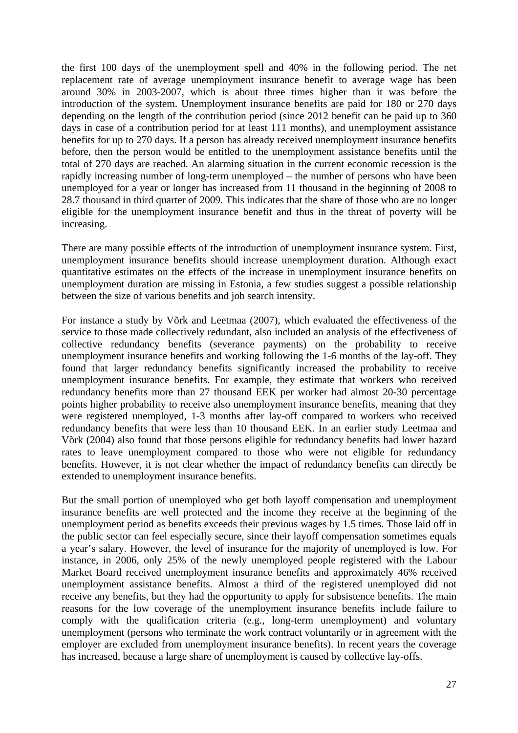the first 100 days of the unemployment spell and 40% in the following period. The net replacement rate of average unemployment insurance benefit to average wage has been around 30% in 2003-2007, which is about three times higher than it was before the introduction of the system. Unemployment insurance benefits are paid for 180 or 270 days depending on the length of the contribution period (since 2012 benefit can be paid up to 360 days in case of a contribution period for at least 111 months), and unemployment assistance benefits for up to 270 days. If a person has already received unemployment insurance benefits before, then the person would be entitled to the unemployment assistance benefits until the total of 270 days are reached. An alarming situation in the current economic recession is the rapidly increasing number of long-term unemployed – the number of persons who have been unemployed for a year or longer has increased from 11 thousand in the beginning of 2008 to 28.7 thousand in third quarter of 2009. This indicates that the share of those who are no longer eligible for the unemployment insurance benefit and thus in the threat of poverty will be increasing.

There are many possible effects of the introduction of unemployment insurance system. First, unemployment insurance benefits should increase unemployment duration. Although exact quantitative estimates on the effects of the increase in unemployment insurance benefits on unemployment duration are missing in Estonia, a few studies suggest a possible relationship between the size of various benefits and job search intensity.

For instance a study by Võrk and Leetmaa (2007), which evaluated the effectiveness of the service to those made collectively redundant, also included an analysis of the effectiveness of collective redundancy benefits (severance payments) on the probability to receive unemployment insurance benefits and working following the 1-6 months of the lay-off. They found that larger redundancy benefits significantly increased the probability to receive unemployment insurance benefits. For example, they estimate that workers who received redundancy benefits more than 27 thousand EEK per worker had almost 20-30 percentage points higher probability to receive also unemployment insurance benefits, meaning that they were registered unemployed, 1-3 months after lay-off compared to workers who received redundancy benefits that were less than 10 thousand EEK. In an earlier study Leetmaa and Võrk (2004) also found that those persons eligible for redundancy benefits had lower hazard rates to leave unemployment compared to those who were not eligible for redundancy benefits. However, it is not clear whether the impact of redundancy benefits can directly be extended to unemployment insurance benefits.

But the small portion of unemployed who get both layoff compensation and unemployment insurance benefits are well protected and the income they receive at the beginning of the unemployment period as benefits exceeds their previous wages by 1.5 times. Those laid off in the public sector can feel especially secure, since their layoff compensation sometimes equals a year's salary. However, the level of insurance for the majority of unemployed is low. For instance, in 2006, only 25% of the newly unemployed people registered with the Labour Market Board received unemployment insurance benefits and approximately 46% received unemployment assistance benefits. Almost a third of the registered unemployed did not receive any benefits, but they had the opportunity to apply for subsistence benefits. The main reasons for the low coverage of the unemployment insurance benefits include failure to comply with the qualification criteria (e.g., long-term unemployment) and voluntary unemployment (persons who terminate the work contract voluntarily or in agreement with the employer are excluded from unemployment insurance benefits). In recent years the coverage has increased, because a large share of unemployment is caused by collective lay-offs.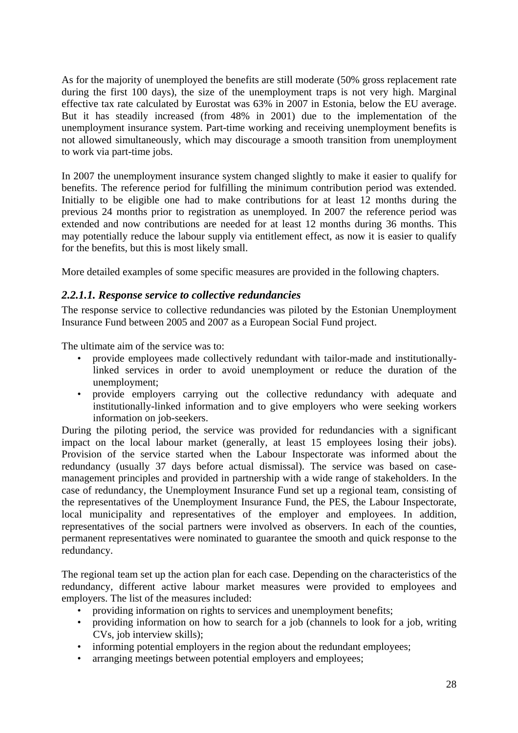As for the majority of unemployed the benefits are still moderate (50% gross replacement rate during the first 100 days), the size of the unemployment traps is not very high. Marginal effective tax rate calculated by Eurostat was 63% in 2007 in Estonia, below the EU average. But it has steadily increased (from 48% in 2001) due to the implementation of the unemployment insurance system. Part-time working and receiving unemployment benefits is not allowed simultaneously, which may discourage a smooth transition from unemployment to work via part-time jobs.

In 2007 the unemployment insurance system changed slightly to make it easier to qualify for benefits. The reference period for fulfilling the minimum contribution period was extended. Initially to be eligible one had to make contributions for at least 12 months during the previous 24 months prior to registration as unemployed. In 2007 the reference period was extended and now contributions are needed for at least 12 months during 36 months. This may potentially reduce the labour supply via entitlement effect, as now it is easier to qualify for the benefits, but this is most likely small.

More detailed examples of some specific measures are provided in the following chapters.

### *2.2.1.1. Response service to collective redundancies*

The response service to collective redundancies was piloted by the Estonian Unemployment Insurance Fund between 2005 and 2007 as a European Social Fund project.

The ultimate aim of the service was to:

- provide employees made collectively redundant with tailor-made and institutionallylinked services in order to avoid unemployment or reduce the duration of the unemployment;
- provide employers carrying out the collective redundancy with adequate and institutionally-linked information and to give employers who were seeking workers information on job-seekers.

During the piloting period, the service was provided for redundancies with a significant impact on the local labour market (generally, at least 15 employees losing their jobs). Provision of the service started when the Labour Inspectorate was informed about the redundancy (usually 37 days before actual dismissal). The service was based on casemanagement principles and provided in partnership with a wide range of stakeholders. In the case of redundancy, the Unemployment Insurance Fund set up a regional team, consisting of the representatives of the Unemployment Insurance Fund, the PES, the Labour Inspectorate, local municipality and representatives of the employer and employees. In addition, representatives of the social partners were involved as observers. In each of the counties, permanent representatives were nominated to guarantee the smooth and quick response to the redundancy.

The regional team set up the action plan for each case. Depending on the characteristics of the redundancy, different active labour market measures were provided to employees and employers. The list of the measures included:

- providing information on rights to services and unemployment benefits;
- providing information on how to search for a job (channels to look for a job, writing CVs, job interview skills);
- informing potential employers in the region about the redundant employees;
- arranging meetings between potential employers and employees;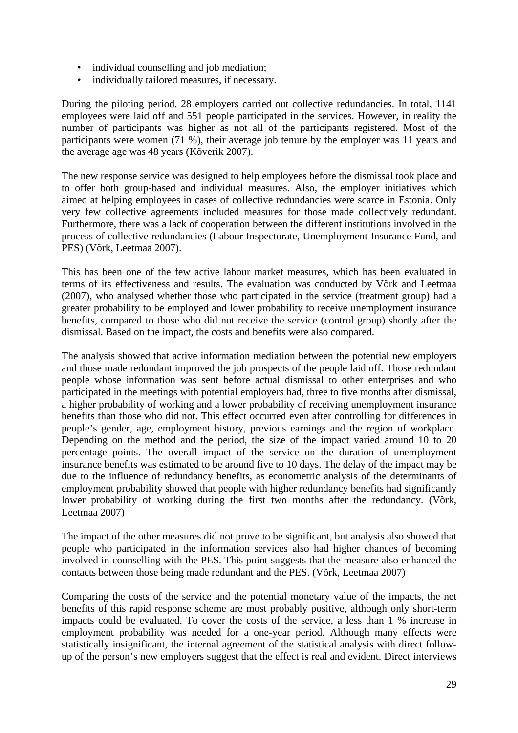- individual counselling and job mediation;
- individually tailored measures, if necessary.

During the piloting period, 28 employers carried out collective redundancies. In total, 1141 employees were laid off and 551 people participated in the services. However, in reality the number of participants was higher as not all of the participants registered. Most of the participants were women (71 %), their average job tenure by the employer was 11 years and the average age was 48 years (Kõverik 2007).

The new response service was designed to help employees before the dismissal took place and to offer both group-based and individual measures. Also, the employer initiatives which aimed at helping employees in cases of collective redundancies were scarce in Estonia. Only very few collective agreements included measures for those made collectively redundant. Furthermore, there was a lack of cooperation between the different institutions involved in the process of collective redundancies (Labour Inspectorate, Unemployment Insurance Fund, and PES) (Võrk, Leetmaa 2007).

This has been one of the few active labour market measures, which has been evaluated in terms of its effectiveness and results. The evaluation was conducted by Võrk and Leetmaa (2007), who analysed whether those who participated in the service (treatment group) had a greater probability to be employed and lower probability to receive unemployment insurance benefits, compared to those who did not receive the service (control group) shortly after the dismissal. Based on the impact, the costs and benefits were also compared.

The analysis showed that active information mediation between the potential new employers and those made redundant improved the job prospects of the people laid off. Those redundant people whose information was sent before actual dismissal to other enterprises and who participated in the meetings with potential employers had, three to five months after dismissal, a higher probability of working and a lower probability of receiving unemployment insurance benefits than those who did not. This effect occurred even after controlling for differences in people's gender, age, employment history, previous earnings and the region of workplace. Depending on the method and the period, the size of the impact varied around 10 to 20 percentage points. The overall impact of the service on the duration of unemployment insurance benefits was estimated to be around five to 10 days. The delay of the impact may be due to the influence of redundancy benefits, as econometric analysis of the determinants of employment probability showed that people with higher redundancy benefits had significantly lower probability of working during the first two months after the redundancy. (Võrk, Leetmaa 2007)

The impact of the other measures did not prove to be significant, but analysis also showed that people who participated in the information services also had higher chances of becoming involved in counselling with the PES. This point suggests that the measure also enhanced the contacts between those being made redundant and the PES. (Võrk, Leetmaa 2007)

Comparing the costs of the service and the potential monetary value of the impacts, the net benefits of this rapid response scheme are most probably positive, although only short-term impacts could be evaluated. To cover the costs of the service, a less than 1 % increase in employment probability was needed for a one-year period. Although many effects were statistically insignificant, the internal agreement of the statistical analysis with direct followup of the person's new employers suggest that the effect is real and evident. Direct interviews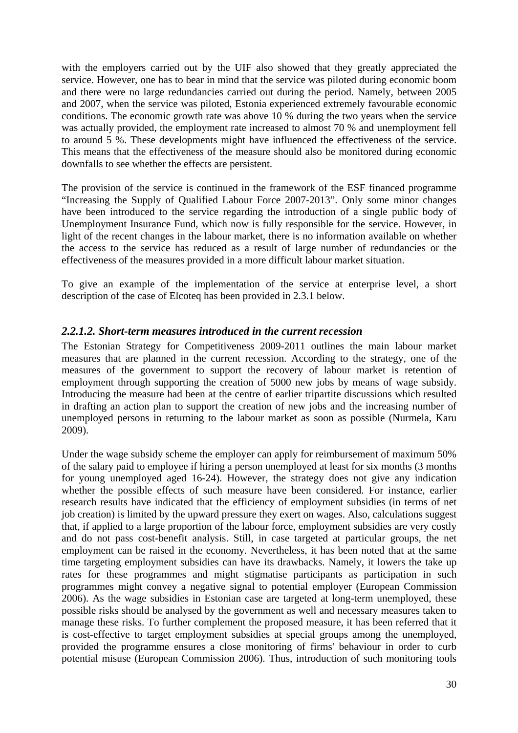with the employers carried out by the UIF also showed that they greatly appreciated the service. However, one has to bear in mind that the service was piloted during economic boom and there were no large redundancies carried out during the period. Namely, between 2005 and 2007, when the service was piloted, Estonia experienced extremely favourable economic conditions. The economic growth rate was above 10 % during the two years when the service was actually provided, the employment rate increased to almost 70 % and unemployment fell to around 5 %. These developments might have influenced the effectiveness of the service. This means that the effectiveness of the measure should also be monitored during economic downfalls to see whether the effects are persistent.

The provision of the service is continued in the framework of the ESF financed programme "Increasing the Supply of Qualified Labour Force 2007-2013". Only some minor changes have been introduced to the service regarding the introduction of a single public body of Unemployment Insurance Fund, which now is fully responsible for the service. However, in light of the recent changes in the labour market, there is no information available on whether the access to the service has reduced as a result of large number of redundancies or the effectiveness of the measures provided in a more difficult labour market situation.

To give an example of the implementation of the service at enterprise level, a short description of the case of Elcoteq has been provided in 2.3.1 below.

#### *2.2.1.2. Short-term measures introduced in the current recession*

The Estonian Strategy for Competitiveness 2009-2011 outlines the main labour market measures that are planned in the current recession. According to the strategy, one of the measures of the government to support the recovery of labour market is retention of employment through supporting the creation of 5000 new jobs by means of wage subsidy. Introducing the measure had been at the centre of earlier tripartite discussions which resulted in drafting an action plan to support the creation of new jobs and the increasing number of unemployed persons in returning to the labour market as soon as possible (Nurmela, Karu 2009).

Under the wage subsidy scheme the employer can apply for reimbursement of maximum 50% of the salary paid to employee if hiring a person unemployed at least for six months (3 months for young unemployed aged 16-24). However, the strategy does not give any indication whether the possible effects of such measure have been considered. For instance, earlier research results have indicated that the efficiency of employment subsidies (in terms of net job creation) is limited by the upward pressure they exert on wages. Also, calculations suggest that, if applied to a large proportion of the labour force, employment subsidies are very costly and do not pass cost-benefit analysis. Still, in case targeted at particular groups, the net employment can be raised in the economy. Nevertheless, it has been noted that at the same time targeting employment subsidies can have its drawbacks. Namely, it lowers the take up rates for these programmes and might stigmatise participants as participation in such programmes might convey a negative signal to potential employer (European Commission 2006). As the wage subsidies in Estonian case are targeted at long-term unemployed, these possible risks should be analysed by the government as well and necessary measures taken to manage these risks. To further complement the proposed measure, it has been referred that it is cost-effective to target employment subsidies at special groups among the unemployed, provided the programme ensures a close monitoring of firms' behaviour in order to curb potential misuse (European Commission 2006). Thus, introduction of such monitoring tools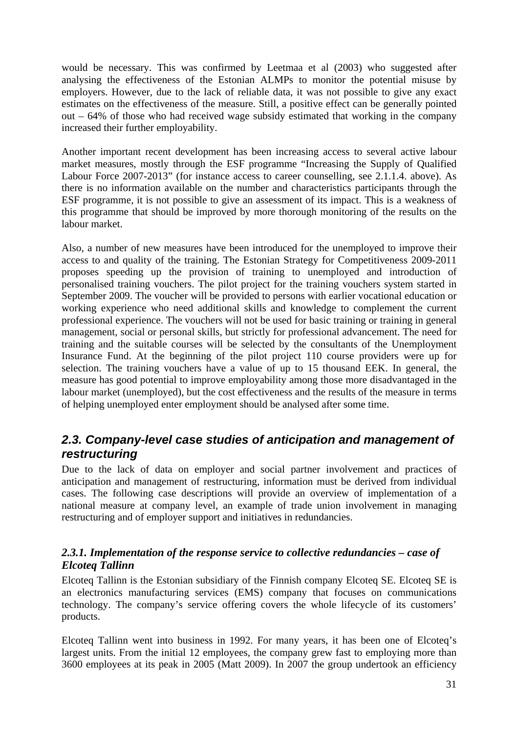would be necessary. This was confirmed by Leetmaa et al (2003) who suggested after analysing the effectiveness of the Estonian ALMPs to monitor the potential misuse by employers. However, due to the lack of reliable data, it was not possible to give any exact estimates on the effectiveness of the measure. Still, a positive effect can be generally pointed out – 64% of those who had received wage subsidy estimated that working in the company increased their further employability.

Another important recent development has been increasing access to several active labour market measures, mostly through the ESF programme "Increasing the Supply of Qualified Labour Force 2007-2013" (for instance access to career counselling, see 2.1.1.4. above). As there is no information available on the number and characteristics participants through the ESF programme, it is not possible to give an assessment of its impact. This is a weakness of this programme that should be improved by more thorough monitoring of the results on the labour market.

Also, a number of new measures have been introduced for the unemployed to improve their access to and quality of the training. The Estonian Strategy for Competitiveness 2009-2011 proposes speeding up the provision of training to unemployed and introduction of personalised training vouchers. The pilot project for the training vouchers system started in September 2009. The voucher will be provided to persons with earlier vocational education or working experience who need additional skills and knowledge to complement the current professional experience. The vouchers will not be used for basic training or training in general management, social or personal skills, but strictly for professional advancement. The need for training and the suitable courses will be selected by the consultants of the Unemployment Insurance Fund. At the beginning of the pilot project 110 course providers were up for selection. The training vouchers have a value of up to 15 thousand EEK. In general, the measure has good potential to improve employability among those more disadvantaged in the labour market (unemployed), but the cost effectiveness and the results of the measure in terms of helping unemployed enter employment should be analysed after some time.

### <span id="page-30-0"></span>*2.3. Company-level case studies of anticipation and management of restructuring*

Due to the lack of data on employer and social partner involvement and practices of anticipation and management of restructuring, information must be derived from individual cases. The following case descriptions will provide an overview of implementation of a national measure at company level, an example of trade union involvement in managing restructuring and of employer support and initiatives in redundancies.

### *2.3.1. Implementation of the response service to collective redundancies – case of Elcoteq Tallinn*

Elcoteq Tallinn is the Estonian subsidiary of the Finnish company Elcoteq SE. Elcoteq SE is an electronics manufacturing services (EMS) company that focuses on communications technology. The company's service offering covers the whole lifecycle of its customers' products.

Elcoteq Tallinn went into business in 1992. For many years, it has been one of Elcoteq's largest units. From the initial 12 employees, the company grew fast to employing more than 3600 employees at its peak in 2005 (Matt 2009). In 2007 the group undertook an efficiency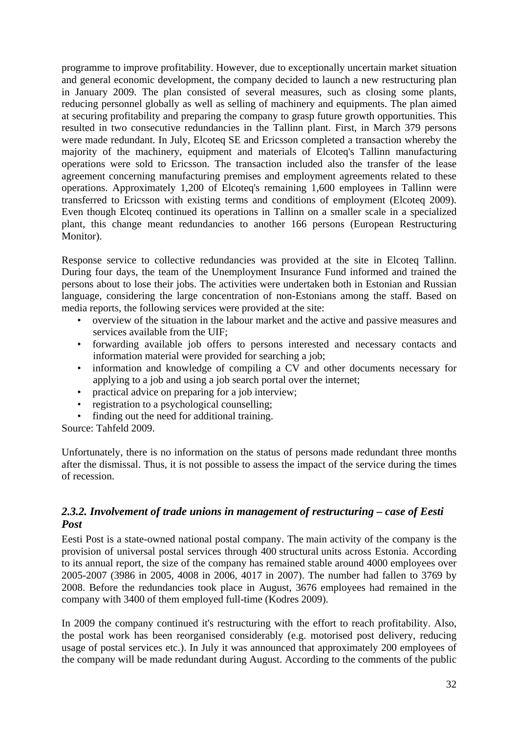programme to improve profitability. However, due to exceptionally uncertain market situation and general economic development, the company decided to launch a new restructuring plan in January 2009. The plan consisted of several measures, such as closing some plants, reducing personnel globally as well as selling of machinery and equipments. The plan aimed at securing profitability and preparing the company to grasp future growth opportunities. This resulted in two consecutive redundancies in the Tallinn plant. First, in March 379 persons were made redundant. In July, Elcoteq SE and Ericsson completed a transaction whereby the majority of the machinery, equipment and materials of Elcoteq's Tallinn manufacturing operations were sold to Ericsson. The transaction included also the transfer of the lease agreement concerning manufacturing premises and employment agreements related to these operations. Approximately 1,200 of Elcoteq's remaining 1,600 employees in Tallinn were transferred to Ericsson with existing terms and conditions of employment (Elcoteq 2009). Even though Elcoteq continued its operations in Tallinn on a smaller scale in a specialized plant, this change meant redundancies to another 166 persons (European Restructuring Monitor).

Response service to collective redundancies was provided at the site in Elcoteq Tallinn. During four days, the team of the Unemployment Insurance Fund informed and trained the persons about to lose their jobs. The activities were undertaken both in Estonian and Russian language, considering the large concentration of non-Estonians among the staff. Based on media reports, the following services were provided at the site:

- overview of the situation in the labour market and the active and passive measures and services available from the UIF;
- forwarding available job offers to persons interested and necessary contacts and information material were provided for searching a job;
- information and knowledge of compiling a CV and other documents necessary for applying to a job and using a job search portal over the internet;
- practical advice on preparing for a job interview;
- registration to a psychological counselling;
- finding out the need for additional training.

Source: Tahfeld 2009.

Unfortunately, there is no information on the status of persons made redundant three months after the dismissal. Thus, it is not possible to assess the impact of the service during the times of recession.

### *2.3.2. Involvement of trade unions in management of restructuring – case of Eesti Post*

Eesti Post is a state-owned national postal company. The main activity of the company is the provision of universal postal services through 400 structural units across Estonia. According to its annual report, the size of the company has remained stable around 4000 employees over 2005-2007 (3986 in 2005, 4008 in 2006, 4017 in 2007). The number had fallen to 3769 by 2008. Before the redundancies took place in August, 3676 employees had remained in the company with 3400 of them employed full-time (Kodres 2009).

In 2009 the company continued it's restructuring with the effort to reach profitability. Also, the postal work has been reorganised considerably (e.g. motorised post delivery, reducing usage of postal services etc.). In July it was announced that approximately 200 employees of the company will be made redundant during August. According to the comments of the public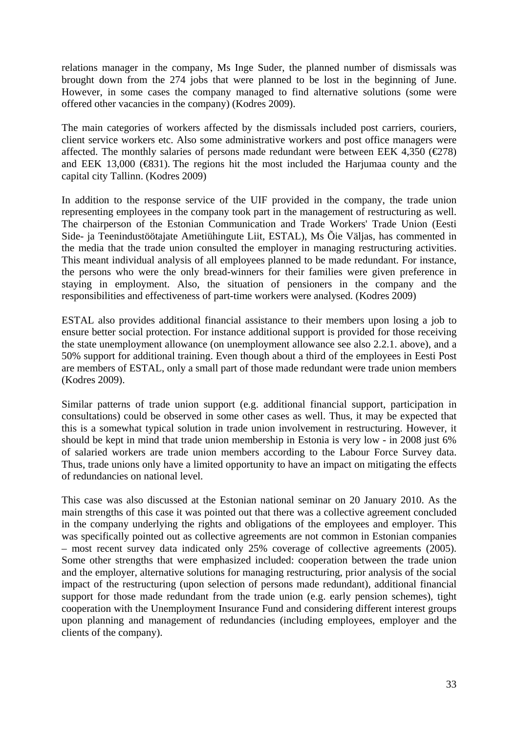relations manager in the company, Ms Inge Suder, the planned number of dismissals was brought down from the 274 jobs that were planned to be lost in the beginning of June. However, in some cases the company managed to find alternative solutions (some were offered other vacancies in the company) (Kodres 2009).

The main categories of workers affected by the dismissals included post carriers, couriers, client service workers etc. Also some administrative workers and post office managers were affected. The monthly salaries of persons made redundant were between EEK 4,350 ( $\in 278$ ) and EEK 13,000  $(\text{\textcircled{}}831)$ . The regions hit the most included the Harjumaa county and the capital city Tallinn. (Kodres 2009)

In addition to the response service of the UIF provided in the company, the trade union representing employees in the company took part in the management of restructuring as well. The chairperson of the Estonian Communication and Trade Workers' Trade Union (Eesti Side- ja Teenindustöötajate Ametiühingute Liit, ESTAL), Ms Õie Väljas, has commented in the media that the trade union consulted the employer in managing restructuring activities. This meant individual analysis of all employees planned to be made redundant. For instance, the persons who were the only bread-winners for their families were given preference in staying in employment. Also, the situation of pensioners in the company and the responsibilities and effectiveness of part-time workers were analysed. (Kodres 2009)

ESTAL also provides additional financial assistance to their members upon losing a job to ensure better social protection. For instance additional support is provided for those receiving the state unemployment allowance (on unemployment allowance see also 2.2.1. above), and a 50% support for additional training. Even though about a third of the employees in Eesti Post are members of ESTAL, only a small part of those made redundant were trade union members (Kodres 2009).

Similar patterns of trade union support (e.g. additional financial support, participation in consultations) could be observed in some other cases as well. Thus, it may be expected that this is a somewhat typical solution in trade union involvement in restructuring. However, it should be kept in mind that trade union membership in Estonia is very low - in 2008 just 6% of salaried workers are trade union members according to the Labour Force Survey data. Thus, trade unions only have a limited opportunity to have an impact on mitigating the effects of redundancies on national level.

This case was also discussed at the Estonian national seminar on 20 January 2010. As the main strengths of this case it was pointed out that there was a collective agreement concluded in the company underlying the rights and obligations of the employees and employer. This was specifically pointed out as collective agreements are not common in Estonian companies – most recent survey data indicated only 25% coverage of collective agreements (2005). Some other strengths that were emphasized included: cooperation between the trade union and the employer, alternative solutions for managing restructuring, prior analysis of the social impact of the restructuring (upon selection of persons made redundant), additional financial support for those made redundant from the trade union (e.g. early pension schemes), tight cooperation with the Unemployment Insurance Fund and considering different interest groups upon planning and management of redundancies (including employees, employer and the clients of the company).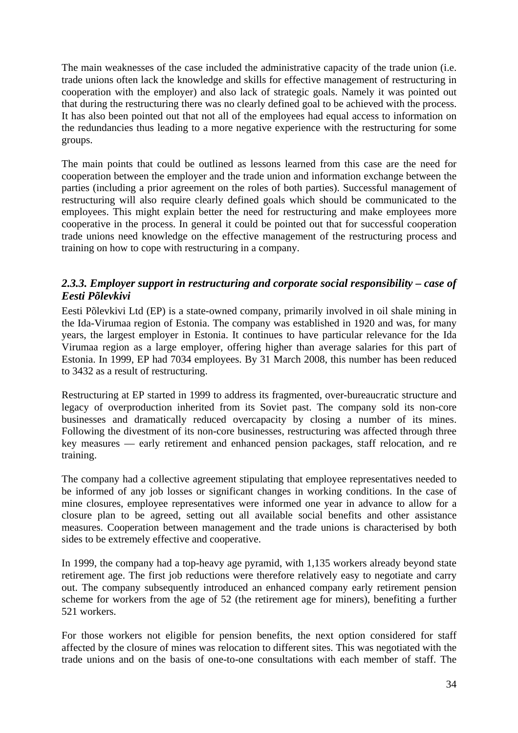The main weaknesses of the case included the administrative capacity of the trade union (i.e. trade unions often lack the knowledge and skills for effective management of restructuring in cooperation with the employer) and also lack of strategic goals. Namely it was pointed out that during the restructuring there was no clearly defined goal to be achieved with the process. It has also been pointed out that not all of the employees had equal access to information on the redundancies thus leading to a more negative experience with the restructuring for some groups.

The main points that could be outlined as lessons learned from this case are the need for cooperation between the employer and the trade union and information exchange between the parties (including a prior agreement on the roles of both parties). Successful management of restructuring will also require clearly defined goals which should be communicated to the employees. This might explain better the need for restructuring and make employees more cooperative in the process. In general it could be pointed out that for successful cooperation trade unions need knowledge on the effective management of the restructuring process and training on how to cope with restructuring in a company.

### *2.3.3. Employer support in restructuring and corporate social responsibility – case of Eesti Põlevkivi*

Eesti Põlevkivi Ltd (EP) is a state-owned company, primarily involved in oil shale mining in the Ida-Virumaa region of Estonia. The company was established in 1920 and was, for many years, the largest employer in Estonia. It continues to have particular relevance for the Ida Virumaa region as a large employer, offering higher than average salaries for this part of Estonia. In 1999, EP had 7034 employees. By 31 March 2008, this number has been reduced to 3432 as a result of restructuring.

Restructuring at EP started in 1999 to address its fragmented, over-bureaucratic structure and legacy of overproduction inherited from its Soviet past. The company sold its non-core businesses and dramatically reduced overcapacity by closing a number of its mines. Following the divestment of its non-core businesses, restructuring was affected through three key measures — early retirement and enhanced pension packages, staff relocation, and re training.

The company had a collective agreement stipulating that employee representatives needed to be informed of any job losses or significant changes in working conditions. In the case of mine closures, employee representatives were informed one year in advance to allow for a closure plan to be agreed, setting out all available social benefits and other assistance measures. Cooperation between management and the trade unions is characterised by both sides to be extremely effective and cooperative.

In 1999, the company had a top-heavy age pyramid, with 1,135 workers already beyond state retirement age. The first job reductions were therefore relatively easy to negotiate and carry out. The company subsequently introduced an enhanced company early retirement pension scheme for workers from the age of 52 (the retirement age for miners), benefiting a further 521 workers.

For those workers not eligible for pension benefits, the next option considered for staff affected by the closure of mines was relocation to different sites. This was negotiated with the trade unions and on the basis of one-to-one consultations with each member of staff. The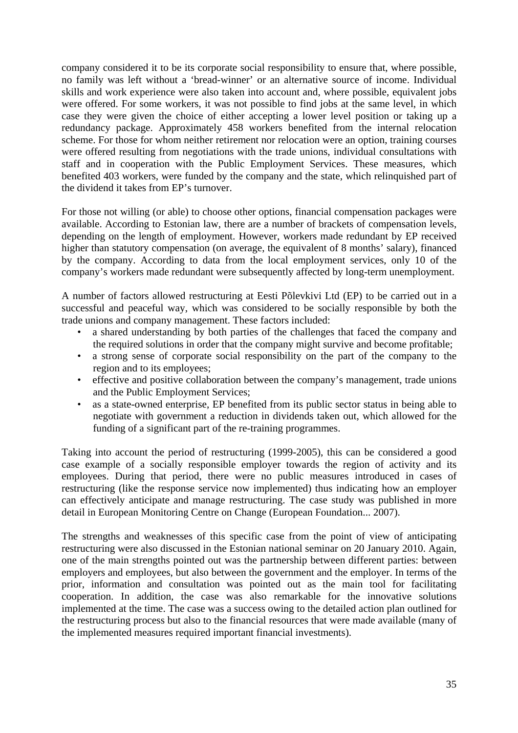company considered it to be its corporate social responsibility to ensure that, where possible, no family was left without a 'bread-winner' or an alternative source of income. Individual skills and work experience were also taken into account and, where possible, equivalent jobs were offered. For some workers, it was not possible to find jobs at the same level, in which case they were given the choice of either accepting a lower level position or taking up a redundancy package. Approximately 458 workers benefited from the internal relocation scheme. For those for whom neither retirement nor relocation were an option, training courses were offered resulting from negotiations with the trade unions, individual consultations with staff and in cooperation with the Public Employment Services. These measures, which benefited 403 workers, were funded by the company and the state, which relinquished part of the dividend it takes from EP's turnover.

For those not willing (or able) to choose other options, financial compensation packages were available. According to Estonian law, there are a number of brackets of compensation levels, depending on the length of employment. However, workers made redundant by EP received higher than statutory compensation (on average, the equivalent of 8 months' salary), financed by the company. According to data from the local employment services, only 10 of the company's workers made redundant were subsequently affected by long-term unemployment.

A number of factors allowed restructuring at Eesti Põlevkivi Ltd (EP) to be carried out in a successful and peaceful way, which was considered to be socially responsible by both the trade unions and company management. These factors included:

- a shared understanding by both parties of the challenges that faced the company and the required solutions in order that the company might survive and become profitable;
- a strong sense of corporate social responsibility on the part of the company to the region and to its employees;
- effective and positive collaboration between the company's management, trade unions and the Public Employment Services;
- as a state-owned enterprise, EP benefited from its public sector status in being able to negotiate with government a reduction in dividends taken out, which allowed for the funding of a significant part of the re-training programmes.

Taking into account the period of restructuring (1999-2005), this can be considered a good case example of a socially responsible employer towards the region of activity and its employees. During that period, there were no public measures introduced in cases of restructuring (like the response service now implemented) thus indicating how an employer can effectively anticipate and manage restructuring. The case study was published in more detail in European Monitoring Centre on Change (European Foundation... 2007).

The strengths and weaknesses of this specific case from the point of view of anticipating restructuring were also discussed in the Estonian national seminar on 20 January 2010. Again, one of the main strengths pointed out was the partnership between different parties: between employers and employees, but also between the government and the employer. In terms of the prior, information and consultation was pointed out as the main tool for facilitating cooperation. In addition, the case was also remarkable for the innovative solutions implemented at the time. The case was a success owing to the detailed action plan outlined for the restructuring process but also to the financial resources that were made available (many of the implemented measures required important financial investments).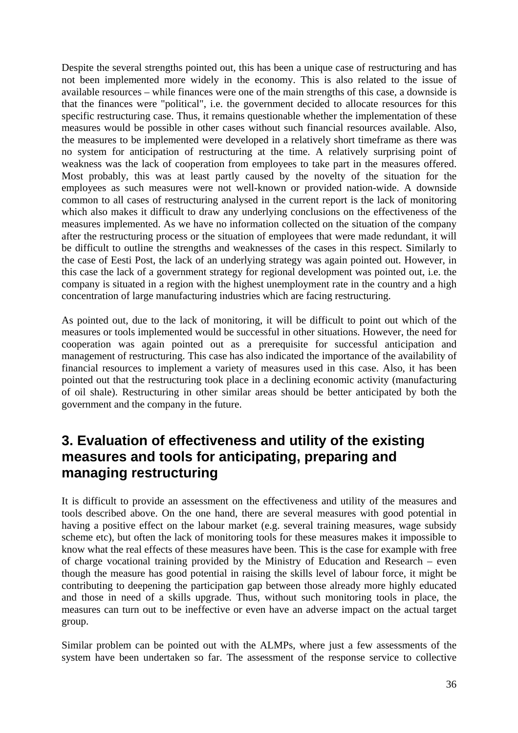Despite the several strengths pointed out, this has been a unique case of restructuring and has not been implemented more widely in the economy. This is also related to the issue of available resources – while finances were one of the main strengths of this case, a downside is that the finances were "political", i.e. the government decided to allocate resources for this specific restructuring case. Thus, it remains questionable whether the implementation of these measures would be possible in other cases without such financial resources available. Also, the measures to be implemented were developed in a relatively short timeframe as there was no system for anticipation of restructuring at the time. A relatively surprising point of weakness was the lack of cooperation from employees to take part in the measures offered. Most probably, this was at least partly caused by the novelty of the situation for the employees as such measures were not well-known or provided nation-wide. A downside common to all cases of restructuring analysed in the current report is the lack of monitoring which also makes it difficult to draw any underlying conclusions on the effectiveness of the measures implemented. As we have no information collected on the situation of the company after the restructuring process or the situation of employees that were made redundant, it will be difficult to outline the strengths and weaknesses of the cases in this respect. Similarly to the case of Eesti Post, the lack of an underlying strategy was again pointed out. However, in this case the lack of a government strategy for regional development was pointed out, i.e. the company is situated in a region with the highest unemployment rate in the country and a high concentration of large manufacturing industries which are facing restructuring.

As pointed out, due to the lack of monitoring, it will be difficult to point out which of the measures or tools implemented would be successful in other situations. However, the need for cooperation was again pointed out as a prerequisite for successful anticipation and management of restructuring. This case has also indicated the importance of the availability of financial resources to implement a variety of measures used in this case. Also, it has been pointed out that the restructuring took place in a declining economic activity (manufacturing of oil shale). Restructuring in other similar areas should be better anticipated by both the government and the company in the future.

## <span id="page-35-0"></span>**3. Evaluation of effectiveness and utility of the existing measures and tools for anticipating, preparing and managing restructuring**

It is difficult to provide an assessment on the effectiveness and utility of the measures and tools described above. On the one hand, there are several measures with good potential in having a positive effect on the labour market (e.g. several training measures, wage subsidy scheme etc), but often the lack of monitoring tools for these measures makes it impossible to know what the real effects of these measures have been. This is the case for example with free of charge vocational training provided by the Ministry of Education and Research – even though the measure has good potential in raising the skills level of labour force, it might be contributing to deepening the participation gap between those already more highly educated and those in need of a skills upgrade. Thus, without such monitoring tools in place, the measures can turn out to be ineffective or even have an adverse impact on the actual target group.

Similar problem can be pointed out with the ALMPs, where just a few assessments of the system have been undertaken so far. The assessment of the response service to collective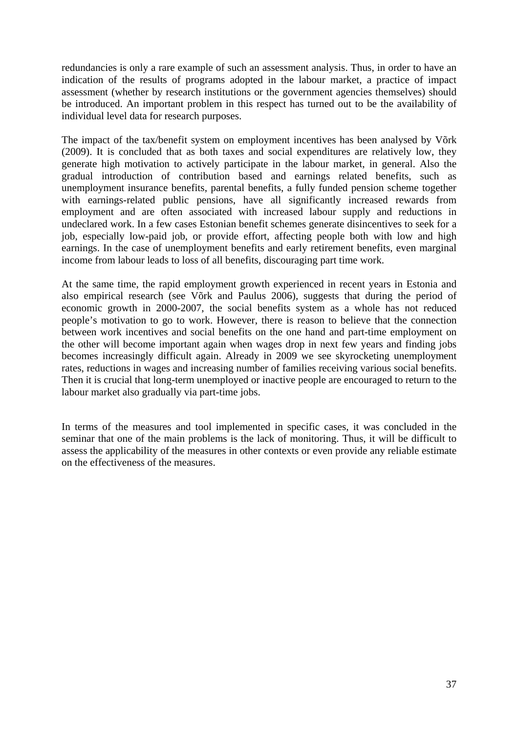redundancies is only a rare example of such an assessment analysis. Thus, in order to have an indication of the results of programs adopted in the labour market, a practice of impact assessment (whether by research institutions or the government agencies themselves) should be introduced. An important problem in this respect has turned out to be the availability of individual level data for research purposes.

The impact of the tax/benefit system on employment incentives has been analysed by Võrk (2009). It is concluded that as both taxes and social expenditures are relatively low, they generate high motivation to actively participate in the labour market, in general. Also the gradual introduction of contribution based and earnings related benefits, such as unemployment insurance benefits, parental benefits, a fully funded pension scheme together with earnings-related public pensions, have all significantly increased rewards from employment and are often associated with increased labour supply and reductions in undeclared work. In a few cases Estonian benefit schemes generate disincentives to seek for a job, especially low-paid job, or provide effort, affecting people both with low and high earnings. In the case of unemployment benefits and early retirement benefits, even marginal income from labour leads to loss of all benefits, discouraging part time work.

At the same time, the rapid employment growth experienced in recent years in Estonia and also empirical research (see Võrk and Paulus 2006), suggests that during the period of economic growth in 2000-2007, the social benefits system as a whole has not reduced people's motivation to go to work. However, there is reason to believe that the connection between work incentives and social benefits on the one hand and part-time employment on the other will become important again when wages drop in next few years and finding jobs becomes increasingly difficult again. Already in 2009 we see skyrocketing unemployment rates, reductions in wages and increasing number of families receiving various social benefits. Then it is crucial that long-term unemployed or inactive people are encouraged to return to the labour market also gradually via part-time jobs.

In terms of the measures and tool implemented in specific cases, it was concluded in the seminar that one of the main problems is the lack of monitoring. Thus, it will be difficult to assess the applicability of the measures in other contexts or even provide any reliable estimate on the effectiveness of the measures.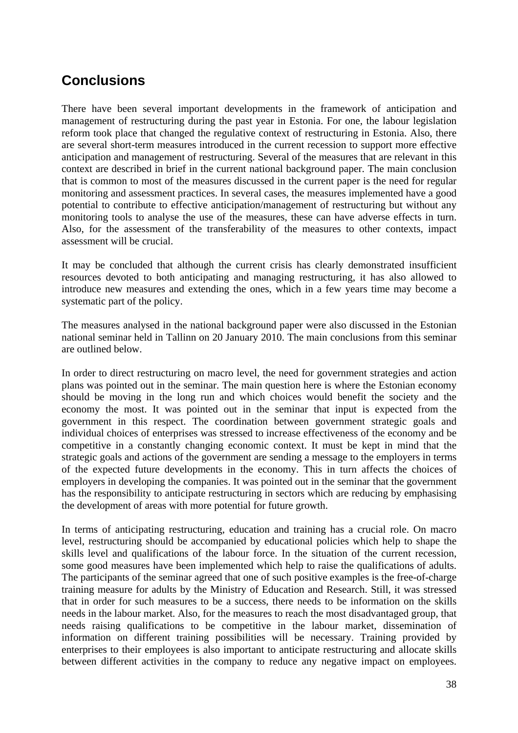# **Conclusions**

There have been several important developments in the framework of anticipation and management of restructuring during the past year in Estonia. For one, the labour legislation reform took place that changed the regulative context of restructuring in Estonia. Also, there are several short-term measures introduced in the current recession to support more effective anticipation and management of restructuring. Several of the measures that are relevant in this context are described in brief in the current national background paper. The main conclusion that is common to most of the measures discussed in the current paper is the need for regular monitoring and assessment practices. In several cases, the measures implemented have a good potential to contribute to effective anticipation/management of restructuring but without any monitoring tools to analyse the use of the measures, these can have adverse effects in turn. Also, for the assessment of the transferability of the measures to other contexts, impact assessment will be crucial.

It may be concluded that although the current crisis has clearly demonstrated insufficient resources devoted to both anticipating and managing restructuring, it has also allowed to introduce new measures and extending the ones, which in a few years time may become a systematic part of the policy.

The measures analysed in the national background paper were also discussed in the Estonian national seminar held in Tallinn on 20 January 2010. The main conclusions from this seminar are outlined below.

In order to direct restructuring on macro level, the need for government strategies and action plans was pointed out in the seminar. The main question here is where the Estonian economy should be moving in the long run and which choices would benefit the society and the economy the most. It was pointed out in the seminar that input is expected from the government in this respect. The coordination between government strategic goals and individual choices of enterprises was stressed to increase effectiveness of the economy and be competitive in a constantly changing economic context. It must be kept in mind that the strategic goals and actions of the government are sending a message to the employers in terms of the expected future developments in the economy. This in turn affects the choices of employers in developing the companies. It was pointed out in the seminar that the government has the responsibility to anticipate restructuring in sectors which are reducing by emphasising the development of areas with more potential for future growth.

<span id="page-37-0"></span>In terms of anticipating restructuring, education and training has a crucial role. On macro level, restructuring should be accompanied by educational policies which help to shape the skills level and qualifications of the labour force. In the situation of the current recession, some good measures have been implemented which help to raise the qualifications of adults. The participants of the seminar agreed that one of such positive examples is the free-of-charge training measure for adults by the Ministry of Education and Research. Still, it was stressed that in order for such measures to be a success, there needs to be information on the skills needs in the labour market. Also, for the measures to reach the most disadvantaged group, that needs raising qualifications to be competitive in the labour market, dissemination of information on different training possibilities will be necessary. Training provided by enterprises to their employees is also important to anticipate restructuring and allocate skills between different activities in the company to reduce any negative impact on employees.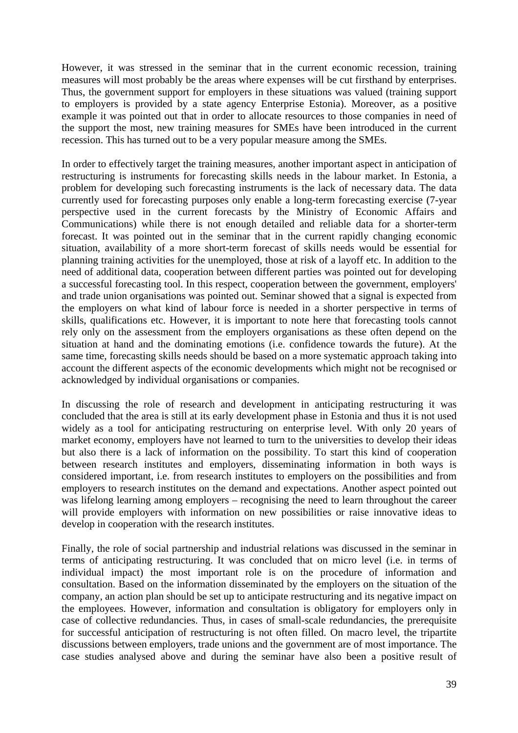However, it was stressed in the seminar that in the current economic recession, training measures will most probably be the areas where expenses will be cut firsthand by enterprises. Thus, the government support for employers in these situations was valued (training support to employers is provided by a state agency Enterprise Estonia). Moreover, as a positive example it was pointed out that in order to allocate resources to those companies in need of the support the most, new training measures for SMEs have been introduced in the current recession. This has turned out to be a very popular measure among the SMEs.

In order to effectively target the training measures, another important aspect in anticipation of restructuring is instruments for forecasting skills needs in the labour market. In Estonia, a problem for developing such forecasting instruments is the lack of necessary data. The data currently used for forecasting purposes only enable a long-term forecasting exercise (7-year perspective used in the current forecasts by the Ministry of Economic Affairs and Communications) while there is not enough detailed and reliable data for a shorter-term forecast. It was pointed out in the seminar that in the current rapidly changing economic situation, availability of a more short-term forecast of skills needs would be essential for planning training activities for the unemployed, those at risk of a layoff etc. In addition to the need of additional data, cooperation between different parties was pointed out for developing a successful forecasting tool. In this respect, cooperation between the government, employers' and trade union organisations was pointed out. Seminar showed that a signal is expected from the employers on what kind of labour force is needed in a shorter perspective in terms of skills, qualifications etc. However, it is important to note here that forecasting tools cannot rely only on the assessment from the employers organisations as these often depend on the situation at hand and the dominating emotions (i.e. confidence towards the future). At the same time, forecasting skills needs should be based on a more systematic approach taking into account the different aspects of the economic developments which might not be recognised or acknowledged by individual organisations or companies.

In discussing the role of research and development in anticipating restructuring it was concluded that the area is still at its early development phase in Estonia and thus it is not used widely as a tool for anticipating restructuring on enterprise level. With only 20 years of market economy, employers have not learned to turn to the universities to develop their ideas but also there is a lack of information on the possibility. To start this kind of cooperation between research institutes and employers, disseminating information in both ways is considered important, i.e. from research institutes to employers on the possibilities and from employers to research institutes on the demand and expectations. Another aspect pointed out was lifelong learning among employers – recognising the need to learn throughout the career will provide employers with information on new possibilities or raise innovative ideas to develop in cooperation with the research institutes.

Finally, the role of social partnership and industrial relations was discussed in the seminar in terms of anticipating restructuring. It was concluded that on micro level (i.e. in terms of individual impact) the most important role is on the procedure of information and consultation. Based on the information disseminated by the employers on the situation of the company, an action plan should be set up to anticipate restructuring and its negative impact on the employees. However, information and consultation is obligatory for employers only in case of collective redundancies. Thus, in cases of small-scale redundancies, the prerequisite for successful anticipation of restructuring is not often filled. On macro level, the tripartite discussions between employers, trade unions and the government are of most importance. The case studies analysed above and during the seminar have also been a positive result of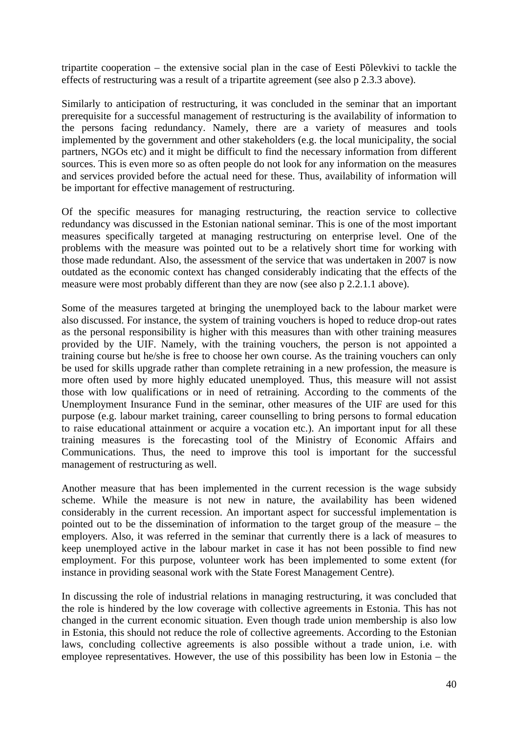tripartite cooperation – the extensive social plan in the case of Eesti Põlevkivi to tackle the effects of restructuring was a result of a tripartite agreement (see also p 2.3.3 above).

Similarly to anticipation of restructuring, it was concluded in the seminar that an important prerequisite for a successful management of restructuring is the availability of information to the persons facing redundancy. Namely, there are a variety of measures and tools implemented by the government and other stakeholders (e.g. the local municipality, the social partners, NGOs etc) and it might be difficult to find the necessary information from different sources. This is even more so as often people do not look for any information on the measures and services provided before the actual need for these. Thus, availability of information will be important for effective management of restructuring.

Of the specific measures for managing restructuring, the reaction service to collective redundancy was discussed in the Estonian national seminar. This is one of the most important measures specifically targeted at managing restructuring on enterprise level. One of the problems with the measure was pointed out to be a relatively short time for working with those made redundant. Also, the assessment of the service that was undertaken in 2007 is now outdated as the economic context has changed considerably indicating that the effects of the measure were most probably different than they are now (see also p 2.2.1.1 above).

Some of the measures targeted at bringing the unemployed back to the labour market were also discussed. For instance, the system of training vouchers is hoped to reduce drop-out rates as the personal responsibility is higher with this measures than with other training measures provided by the UIF. Namely, with the training vouchers, the person is not appointed a training course but he/she is free to choose her own course. As the training vouchers can only be used for skills upgrade rather than complete retraining in a new profession, the measure is more often used by more highly educated unemployed. Thus, this measure will not assist those with low qualifications or in need of retraining. According to the comments of the Unemployment Insurance Fund in the seminar, other measures of the UIF are used for this purpose (e.g. labour market training, career counselling to bring persons to formal education to raise educational attainment or acquire a vocation etc.). An important input for all these training measures is the forecasting tool of the Ministry of Economic Affairs and Communications. Thus, the need to improve this tool is important for the successful management of restructuring as well.

Another measure that has been implemented in the current recession is the wage subsidy scheme. While the measure is not new in nature, the availability has been widened considerably in the current recession. An important aspect for successful implementation is pointed out to be the dissemination of information to the target group of the measure – the employers. Also, it was referred in the seminar that currently there is a lack of measures to keep unemployed active in the labour market in case it has not been possible to find new employment. For this purpose, volunteer work has been implemented to some extent (for instance in providing seasonal work with the State Forest Management Centre).

In discussing the role of industrial relations in managing restructuring, it was concluded that the role is hindered by the low coverage with collective agreements in Estonia. This has not changed in the current economic situation. Even though trade union membership is also low in Estonia, this should not reduce the role of collective agreements. According to the Estonian laws, concluding collective agreements is also possible without a trade union, i.e. with employee representatives. However, the use of this possibility has been low in Estonia – the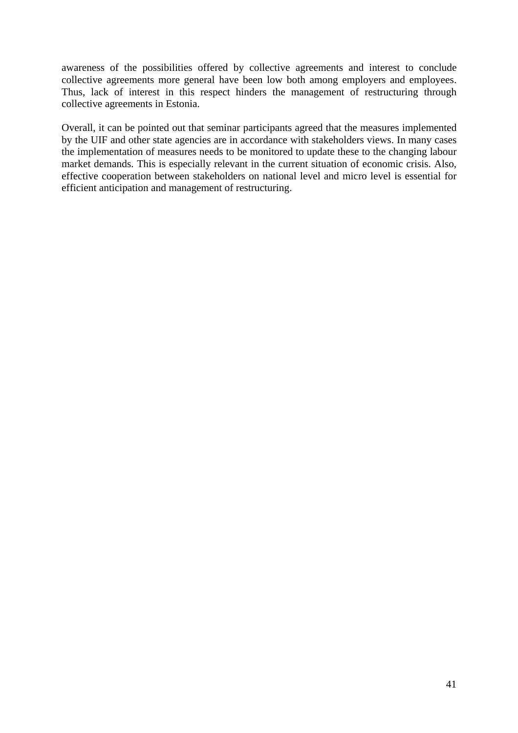awareness of the possibilities offered by collective agreements and interest to conclude collective agreements more general have been low both among employers and employees. Thus, lack of interest in this respect hinders the management of restructuring through collective agreements in Estonia.

Overall, it can be pointed out that seminar participants agreed that the measures implemented by the UIF and other state agencies are in accordance with stakeholders views. In many cases the implementation of measures needs to be monitored to update these to the changing labour market demands. This is especially relevant in the current situation of economic crisis. Also, effective cooperation between stakeholders on national level and micro level is essential for efficient anticipation and management of restructuring.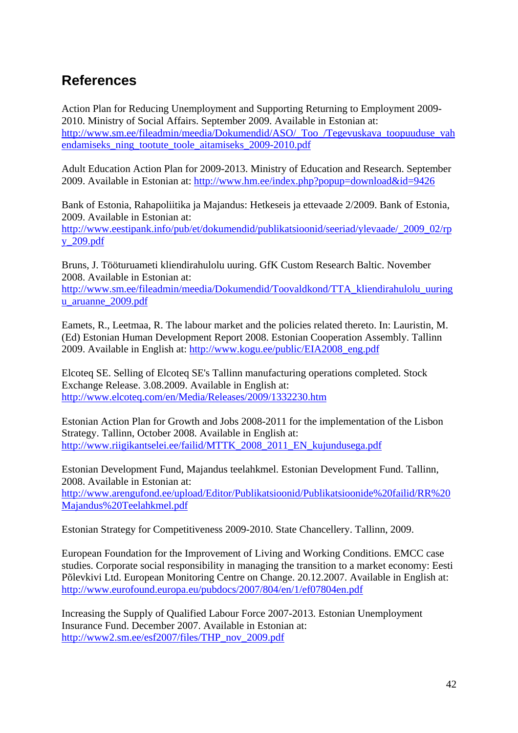## <span id="page-41-0"></span>**References**

Action Plan for Reducing Unemployment and Supporting Returning to Employment 2009- 2010. Ministry of Social Affairs. September 2009. Available in Estonian at: [http://www.sm.ee/fileadmin/meedia/Dokumendid/ASO/\\_Too\\_/Tegevuskava\\_toopuuduse\\_vah](http://www.sm.ee/fileadmin/meedia/Dokumendid/ASO/_Too_/Tegevuskava_toopuuduse_vahendamiseks_ning_tootute_toole_aitamiseks_2009-2010.pdf) [endamiseks\\_ning\\_tootute\\_toole\\_aitamiseks\\_2009-2010.pdf](http://www.sm.ee/fileadmin/meedia/Dokumendid/ASO/_Too_/Tegevuskava_toopuuduse_vahendamiseks_ning_tootute_toole_aitamiseks_2009-2010.pdf) 

Adult Education Action Plan for 2009-2013. Ministry of Education and Research. September 2009. Available in Estonian at:<http://www.hm.ee/index.php?popup=download&id=9426>

Bank of Estonia, Rahapoliitika ja Majandus: Hetkeseis ja ettevaade 2/2009. Bank of Estonia, 2009. Available in Estonian at:

[http://www.eestipank.info/pub/et/dokumendid/publikatsioonid/seeriad/ylevaade/\\_2009\\_02/rp](http://www.eestipank.info/pub/et/dokumendid/publikatsioonid/seeriad/ylevaade/_2009_02/rpy_209.pdf) [y\\_209.pdf](http://www.eestipank.info/pub/et/dokumendid/publikatsioonid/seeriad/ylevaade/_2009_02/rpy_209.pdf) 

Bruns, J. Tööturuameti kliendirahulolu uuring. GfK Custom Research Baltic. November 2008. Available in Estonian at:

[http://www.sm.ee/fileadmin/meedia/Dokumendid/Toovaldkond/TTA\\_kliendirahulolu\\_uuring](http://www.sm.ee/fileadmin/meedia/Dokumendid/Toovaldkond/TTA_kliendirahulolu_uuringu_aruanne_2009.pdf) [u\\_aruanne\\_2009.pdf](http://www.sm.ee/fileadmin/meedia/Dokumendid/Toovaldkond/TTA_kliendirahulolu_uuringu_aruanne_2009.pdf) 

Eamets, R., Leetmaa, R. The labour market and the policies related thereto. In: Lauristin, M. (Ed) Estonian Human Development Report 2008. Estonian Cooperation Assembly. Tallinn 2009. Available in English at: [http://www.kogu.ee/public/EIA2008\\_eng.pdf](http://www.kogu.ee/public/EIA2008_eng.pdf) 

Elcoteq SE. Selling of Elcoteq SE's Tallinn manufacturing operations completed. Stock Exchange Release. 3.08.2009. Available in English at: <http://www.elcoteq.com/en/Media/Releases/2009/1332230.htm>

Estonian Action Plan for Growth and Jobs 2008-2011 for the implementation of the Lisbon Strategy. Tallinn, October 2008. Available in English at: [http://www.riigikantselei.ee/failid/MTTK\\_2008\\_2011\\_EN\\_kujundusega.pdf](http://www.riigikantselei.ee/failid/MTTK_2008_2011_EN_kujundusega.pdf) 

Estonian Development Fund, Majandus teelahkmel. Estonian Development Fund. Tallinn, 2008. Available in Estonian at: [http://www.arengufond.ee/upload/Editor/Publikatsioonid/Publikatsioonide%20failid/RR%20](http://www.arengufond.ee/upload/Editor/Publikatsioonid/Publikatsioonide failid/RR Majandus Teelahkmel.pdf) [Majandus%20Teelahkmel.pdf](http://www.arengufond.ee/upload/Editor/Publikatsioonid/Publikatsioonide failid/RR Majandus Teelahkmel.pdf) 

Estonian Strategy for Competitiveness 2009-2010. State Chancellery. Tallinn, 2009.

European Foundation for the Improvement of Living and Working Conditions. EMCC case studies. Corporate social responsibility in managing the transition to a market economy: Eesti Põlevkivi Ltd. European Monitoring Centre on Change. 20.12.2007. Available in English at: <http://www.eurofound.europa.eu/pubdocs/2007/804/en/1/ef07804en.pdf>

Increasing the Supply of Qualified Labour Force 2007-2013. Estonian Unemployment Insurance Fund. December 2007. Available in Estonian at: [http://www2.sm.ee/esf2007/files/THP\\_nov\\_2009.pdf](http://www2.sm.ee/esf2007/files/THP_nov_2009.pdf)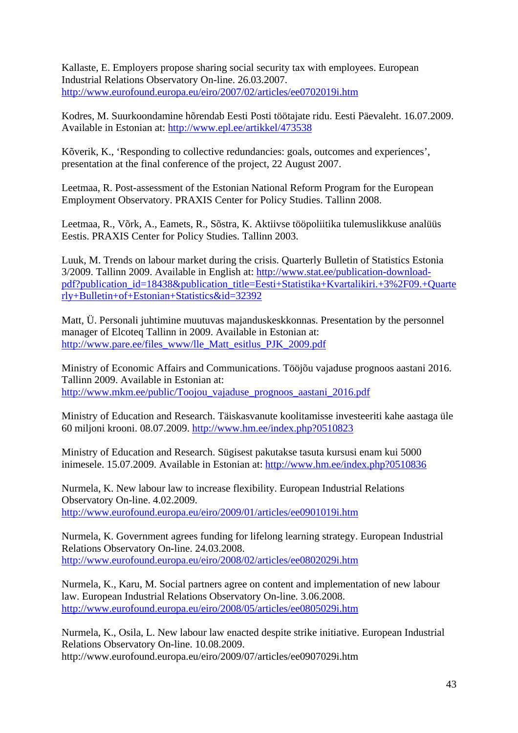Kallaste, E. Employers propose sharing social security tax with employees. European Industrial Relations Observatory On-line. 26.03.2007. <http://www.eurofound.europa.eu/eiro/2007/02/articles/ee0702019i.htm>

Kodres, M. Suurkoondamine hõrendab Eesti Posti töötajate ridu. Eesti Päevaleht. 16.07.2009. Available in Estonian at:<http://www.epl.ee/artikkel/473538>

Kõverik, K., 'Responding to collective redundancies: goals, outcomes and experiences', presentation at the final conference of the project, 22 August 2007.

Leetmaa, R. Post-assessment of the Estonian National Reform Program for the European Employment Observatory. PRAXIS Center for Policy Studies. Tallinn 2008.

Leetmaa, R., Võrk, A., Eamets, R., Sõstra, K. Aktiivse tööpoliitika tulemuslikkuse analüüs Eestis. PRAXIS Center for Policy Studies. Tallinn 2003.

Luuk, M. Trends on labour market during the crisis. Quarterly Bulletin of Statistics Estonia 3/2009. Tallinn 2009. Available in English at[: http://www.stat.ee/publication-download](http://www.stat.ee/publication-download-pdf?publication_id=18438&publication_title=Eesti+Statistika+Kvartalikiri.+3%2F09.+Quarterly+Bulletin+of+Estonian+Statistics&id=32392)[pdf?publication\\_id=18438&publication\\_title=Eesti+Statistika+Kvartalikiri.+3%2F09.+Quarte](http://www.stat.ee/publication-download-pdf?publication_id=18438&publication_title=Eesti+Statistika+Kvartalikiri.+3%2F09.+Quarterly+Bulletin+of+Estonian+Statistics&id=32392) [rly+Bulletin+of+Estonian+Statistics&id=32392](http://www.stat.ee/publication-download-pdf?publication_id=18438&publication_title=Eesti+Statistika+Kvartalikiri.+3%2F09.+Quarterly+Bulletin+of+Estonian+Statistics&id=32392) 

Matt, Ü. Personali juhtimine muutuvas majanduskeskkonnas. Presentation by the personnel manager of Elcoteq Tallinn in 2009. Available in Estonian at: [http://www.pare.ee/files\\_www/lle\\_Matt\\_esitlus\\_PJK\\_2009.pdf](http://www.pare.ee/files_www/lle_Matt_esitlus_PJK_2009.pdf) 

Ministry of Economic Affairs and Communications. Tööjõu vajaduse prognoos aastani 2016. Tallinn 2009. Available in Estonian at: [http://www.mkm.ee/public/Toojou\\_vajaduse\\_prognoos\\_aastani\\_2016.pdf](http://www.mkm.ee/public/Toojou_vajaduse_prognoos_aastani_2016.pdf) 

Ministry of Education and Research. Täiskasvanute koolitamisse investeeriti kahe aastaga üle 60 miljoni krooni. 08.07.2009[. http://www.hm.ee/index.php?0510823](http://www.hm.ee/index.php?0510823) 

Ministry of Education and Research. Sügisest pakutakse tasuta kursusi enam kui 5000 inimesele. 15.07.2009. Available in Estonian at[: http://www.hm.ee/index.php?0510836](http://www.hm.ee/index.php?0510836) 

Nurmela, K. New labour law to increase flexibility. European Industrial Relations Observatory On-line. 4.02.2009. <http://www.eurofound.europa.eu/eiro/2009/01/articles/ee0901019i.htm>

Nurmela, K. Government agrees funding for lifelong learning strategy. European Industrial Relations Observatory On-line. 24.03.2008. <http://www.eurofound.europa.eu/eiro/2008/02/articles/ee0802029i.htm>

Nurmela, K., Karu, M. Social partners agree on content and implementation of new labour law. European Industrial Relations Observatory On-line. 3.06.2008. <http://www.eurofound.europa.eu/eiro/2008/05/articles/ee0805029i.htm>

Nurmela, K., Osila, L. New labour law enacted despite strike initiative. European Industrial Relations Observatory On-line. 10.08.2009. http://www.eurofound.europa.eu/eiro/2009/07/articles/ee0907029i.htm